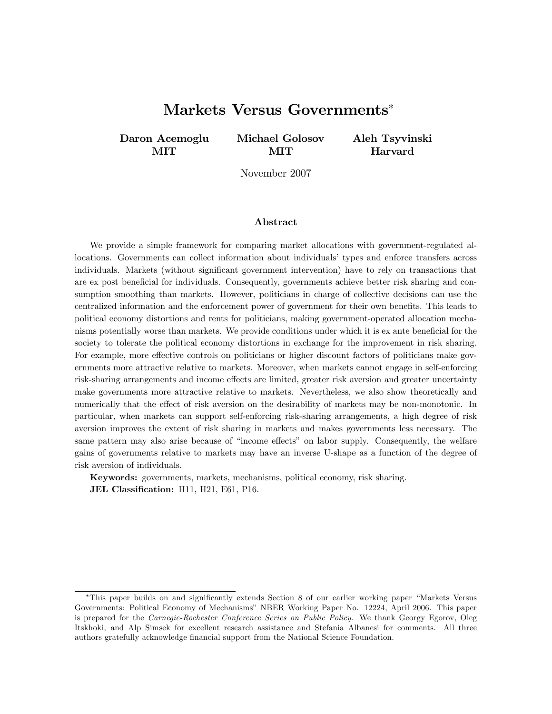# Markets Versus Governments

Daron Acemoglu MIT

Michael Golosov MIT

Aleh Tsyvinski Harvard

November 2007

#### Abstract

We provide a simple framework for comparing market allocations with government-regulated allocations. Governments can collect information about individuals' types and enforce transfers across individuals. Markets (without significant government intervention) have to rely on transactions that are ex post beneficial for individuals. Consequently, governments achieve better risk sharing and consumption smoothing than markets. However, politicians in charge of collective decisions can use the centralized information and the enforcement power of government for their own benefits. This leads to political economy distortions and rents for politicians, making government-operated allocation mechanisms potentially worse than markets. We provide conditions under which it is ex ante beneficial for the society to tolerate the political economy distortions in exchange for the improvement in risk sharing. For example, more effective controls on politicians or higher discount factors of politicians make governments more attractive relative to markets. Moreover, when markets cannot engage in self-enforcing risk-sharing arrangements and income effects are limited, greater risk aversion and greater uncertainty make governments more attractive relative to markets. Nevertheless, we also show theoretically and numerically that the effect of risk aversion on the desirability of markets may be non-monotonic. In particular, when markets can support self-enforcing risk-sharing arrangements, a high degree of risk aversion improves the extent of risk sharing in markets and makes governments less necessary. The same pattern may also arise because of "income effects" on labor supply. Consequently, the welfare gains of governments relative to markets may have an inverse U-shape as a function of the degree of risk aversion of individuals.

Keywords: governments, markets, mechanisms, political economy, risk sharing. JEL Classification: H11, H21, E61, P16.

<sup>&</sup>lt;sup>\*</sup>This paper builds on and significantly extends Section 8 of our earlier working paper "Markets Versus" Governments: Political Economy of Mechanismsî NBER Working Paper No. 12224, April 2006. This paper is prepared for the Carnegie-Rochester Conference Series on Public Policy. We thank Georgy Egorov, Oleg Itskhoki, and Alp Simsek for excellent research assistance and Stefania Albanesi for comments. All three authors gratefully acknowledge financial support from the National Science Foundation.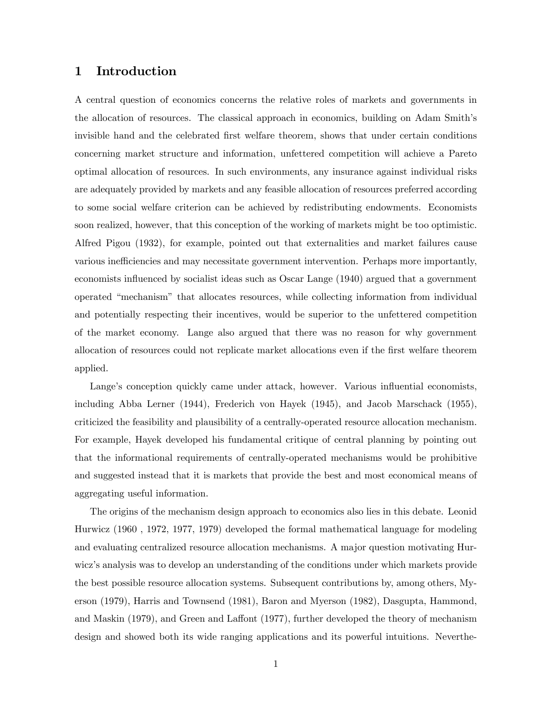## 1 Introduction

A central question of economics concerns the relative roles of markets and governments in the allocation of resources. The classical approach in economics, building on Adam Smithís invisible hand and the celebrated Örst welfare theorem, shows that under certain conditions concerning market structure and information, unfettered competition will achieve a Pareto optimal allocation of resources. In such environments, any insurance against individual risks are adequately provided by markets and any feasible allocation of resources preferred according to some social welfare criterion can be achieved by redistributing endowments. Economists soon realized, however, that this conception of the working of markets might be too optimistic. Alfred Pigou (1932), for example, pointed out that externalities and market failures cause various inefficiencies and may necessitate government intervention. Perhaps more importantly, economists influenced by socialist ideas such as Oscar Lange (1940) argued that a government operated "mechanism" that allocates resources, while collecting information from individual and potentially respecting their incentives, would be superior to the unfettered competition of the market economy. Lange also argued that there was no reason for why government allocation of resources could not replicate market allocations even if the first welfare theorem applied.

Lange's conception quickly came under attack, however. Various influential economists, including Abba Lerner (1944), Frederich von Hayek (1945), and Jacob Marschack (1955), criticized the feasibility and plausibility of a centrally-operated resource allocation mechanism. For example, Hayek developed his fundamental critique of central planning by pointing out that the informational requirements of centrally-operated mechanisms would be prohibitive and suggested instead that it is markets that provide the best and most economical means of aggregating useful information.

The origins of the mechanism design approach to economics also lies in this debate. Leonid Hurwicz (1960 , 1972, 1977, 1979) developed the formal mathematical language for modeling and evaluating centralized resource allocation mechanisms. A major question motivating Hurwicz's analysis was to develop an understanding of the conditions under which markets provide the best possible resource allocation systems. Subsequent contributions by, among others, Myerson (1979), Harris and Townsend (1981), Baron and Myerson (1982), Dasgupta, Hammond, and Maskin  $(1979)$ , and Green and Laffont  $(1977)$ , further developed the theory of mechanism design and showed both its wide ranging applications and its powerful intuitions. Neverthe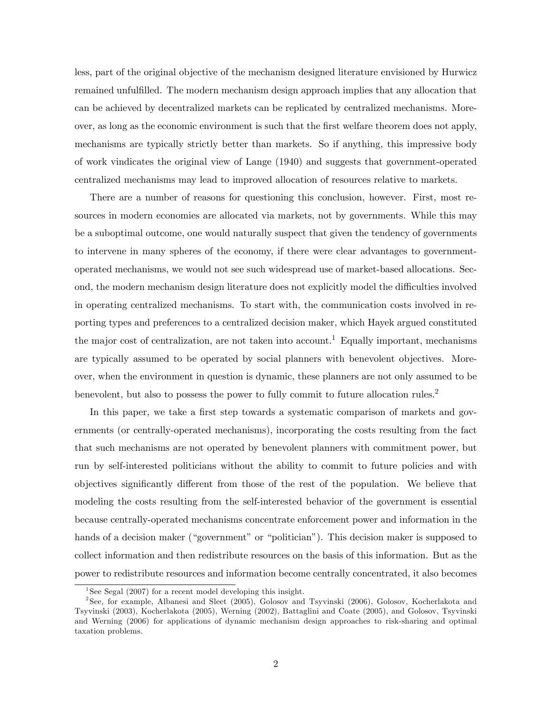less, part of the original objective of the mechanism designed literature envisioned by Hurwicz remained unfulfilled. The modern mechanism design approach implies that any allocation that can be achieved by decentralized markets can be replicated by centralized mechanisms. Moreover, as long as the economic environment is such that the Örst welfare theorem does not apply, mechanisms are typically strictly better than markets. So if anything, this impressive body of work vindicates the original view of Lange (1940) and suggests that government-operated centralized mechanisms may lead to improved allocation of resources relative to markets.

There are a number of reasons for questioning this conclusion, however. First, most resources in modern economies are allocated via markets, not by governments. While this may be a suboptimal outcome, one would naturally suspect that given the tendency of governments to intervene in many spheres of the economy, if there were clear advantages to governmentoperated mechanisms, we would not see such widespread use of market-based allocations. Second, the modern mechanism design literature does not explicitly model the difficulties involved in operating centralized mechanisms. To start with, the communication costs involved in reporting types and preferences to a centralized decision maker, which Hayek argued constituted the major cost of centralization, are not taken into account.<sup>1</sup> Equally important, mechanisms are typically assumed to be operated by social planners with benevolent objectives. Moreover, when the environment in question is dynamic, these planners are not only assumed to be benevolent, but also to possess the power to fully commit to future allocation rules.<sup>2</sup>

In this paper, we take a first step towards a systematic comparison of markets and governments (or centrally-operated mechanisms), incorporating the costs resulting from the fact that such mechanisms are not operated by benevolent planners with commitment power, but run by self-interested politicians without the ability to commit to future policies and with objectives significantly different from those of the rest of the population. We believe that modeling the costs resulting from the self-interested behavior of the government is essential because centrally-operated mechanisms concentrate enforcement power and information in the hands of a decision maker ("government" or "politician"). This decision maker is supposed to collect information and then redistribute resources on the basis of this information. But as the power to redistribute resources and information become centrally concentrated, it also becomes

<sup>&</sup>lt;sup>1</sup>See Segal (2007) for a recent model developing this insight.

<sup>2</sup> See, for example, Albanesi and Sleet (2005), Golosov and Tsyvinski (2006), Golosov, Kocherlakota and Tsyvinski (2003), Kocherlakota (2005), Werning (2002), Battaglini and Coate (2005), and Golosov, Tsyvinski and Werning (2006) for applications of dynamic mechanism design approaches to risk-sharing and optimal taxation problems.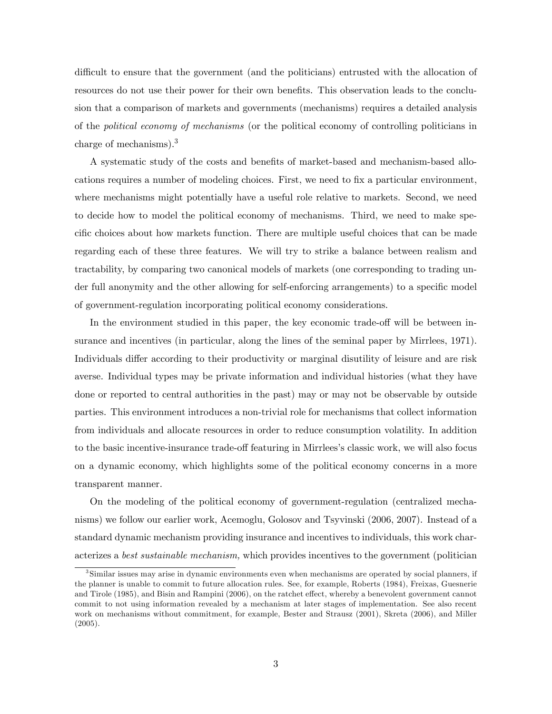difficult to ensure that the government (and the politicians) entrusted with the allocation of resources do not use their power for their own benefits. This observation leads to the conclusion that a comparison of markets and governments (mechanisms) requires a detailed analysis of the political economy of mechanisms (or the political economy of controlling politicians in charge of mechanisms).<sup>3</sup>

A systematic study of the costs and benefits of market-based and mechanism-based allocations requires a number of modeling choices. First, we need to fix a particular environment, where mechanisms might potentially have a useful role relative to markets. Second, we need to decide how to model the political economy of mechanisms. Third, we need to make specific choices about how markets function. There are multiple useful choices that can be made regarding each of these three features. We will try to strike a balance between realism and tractability, by comparing two canonical models of markets (one corresponding to trading under full anonymity and the other allowing for self-enforcing arrangements) to a specific model of government-regulation incorporating political economy considerations.

In the environment studied in this paper, the key economic trade-off will be between insurance and incentives (in particular, along the lines of the seminal paper by Mirrlees, 1971). Individuals differ according to their productivity or marginal disutility of leisure and are risk averse. Individual types may be private information and individual histories (what they have done or reported to central authorities in the past) may or may not be observable by outside parties. This environment introduces a non-trivial role for mechanisms that collect information from individuals and allocate resources in order to reduce consumption volatility. In addition to the basic incentive-insurance trade-off featuring in Mirrlees's classic work, we will also focus on a dynamic economy, which highlights some of the political economy concerns in a more transparent manner.

On the modeling of the political economy of government-regulation (centralized mechanisms) we follow our earlier work, Acemoglu, Golosov and Tsyvinski (2006, 2007). Instead of a standard dynamic mechanism providing insurance and incentives to individuals, this work characterizes a best sustainable mechanism, which provides incentives to the government (politician

<sup>3</sup> Similar issues may arise in dynamic environments even when mechanisms are operated by social planners, if the planner is unable to commit to future allocation rules. See, for example, Roberts (1984), Freixas, Guesnerie and Tirole (1985), and Bisin and Rampini (2006), on the ratchet effect, whereby a benevolent government cannot commit to not using information revealed by a mechanism at later stages of implementation. See also recent work on mechanisms without commitment, for example, Bester and Strausz (2001), Skreta (2006), and Miller (2005).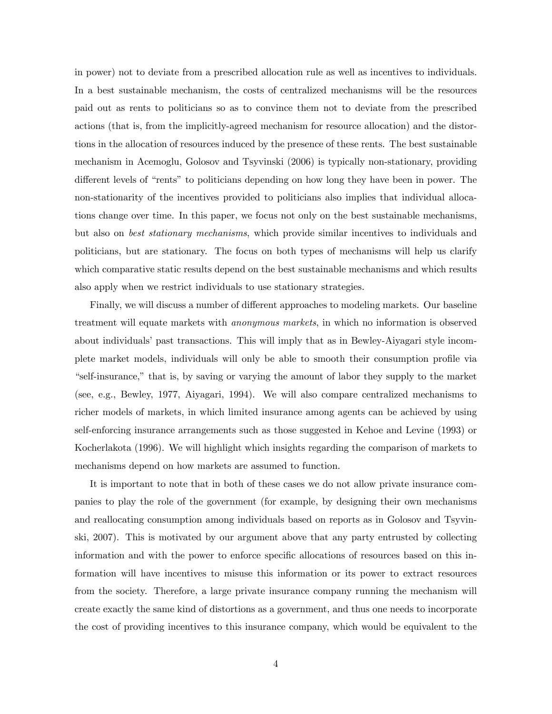in power) not to deviate from a prescribed allocation rule as well as incentives to individuals. In a best sustainable mechanism, the costs of centralized mechanisms will be the resources paid out as rents to politicians so as to convince them not to deviate from the prescribed actions (that is, from the implicitly-agreed mechanism for resource allocation) and the distortions in the allocation of resources induced by the presence of these rents. The best sustainable mechanism in Acemoglu, Golosov and Tsyvinski (2006) is typically non-stationary, providing different levels of "rents" to politicians depending on how long they have been in power. The non-stationarity of the incentives provided to politicians also implies that individual allocations change over time. In this paper, we focus not only on the best sustainable mechanisms, but also on best stationary mechanisms, which provide similar incentives to individuals and politicians, but are stationary. The focus on both types of mechanisms will help us clarify which comparative static results depend on the best sustainable mechanisms and which results also apply when we restrict individuals to use stationary strategies.

Finally, we will discuss a number of different approaches to modeling markets. Our baseline treatment will equate markets with anonymous markets, in which no information is observed about individuals' past transactions. This will imply that as in Bewley-Aiyagari style incomplete market models, individuals will only be able to smooth their consumption profile via ìself-insurance,î that is, by saving or varying the amount of labor they supply to the market (see, e.g., Bewley, 1977, Aiyagari, 1994). We will also compare centralized mechanisms to richer models of markets, in which limited insurance among agents can be achieved by using self-enforcing insurance arrangements such as those suggested in Kehoe and Levine (1993) or Kocherlakota (1996). We will highlight which insights regarding the comparison of markets to mechanisms depend on how markets are assumed to function.

It is important to note that in both of these cases we do not allow private insurance companies to play the role of the government (for example, by designing their own mechanisms and reallocating consumption among individuals based on reports as in Golosov and Tsyvinski, 2007). This is motivated by our argument above that any party entrusted by collecting information and with the power to enforce specific allocations of resources based on this information will have incentives to misuse this information or its power to extract resources from the society. Therefore, a large private insurance company running the mechanism will create exactly the same kind of distortions as a government, and thus one needs to incorporate the cost of providing incentives to this insurance company, which would be equivalent to the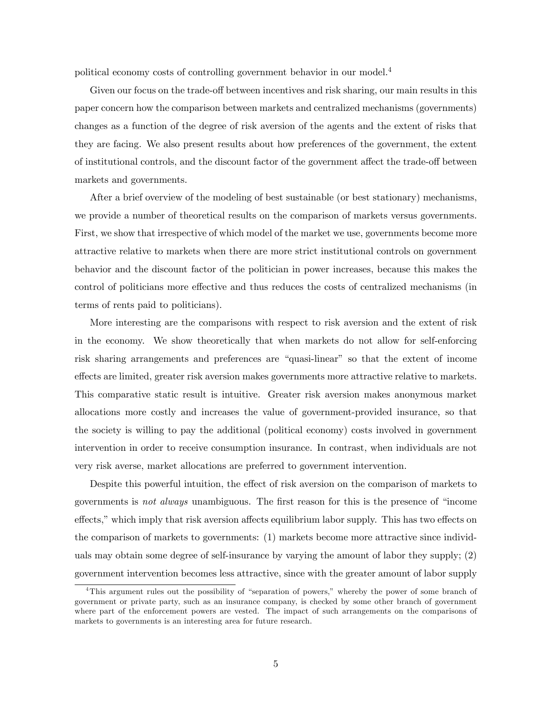political economy costs of controlling government behavior in our model.<sup>4</sup>

Given our focus on the trade-off between incentives and risk sharing, our main results in this paper concern how the comparison between markets and centralized mechanisms (governments) changes as a function of the degree of risk aversion of the agents and the extent of risks that they are facing. We also present results about how preferences of the government, the extent of institutional controls, and the discount factor of the government affect the trade-off between markets and governments.

After a brief overview of the modeling of best sustainable (or best stationary) mechanisms, we provide a number of theoretical results on the comparison of markets versus governments. First, we show that irrespective of which model of the market we use, governments become more attractive relative to markets when there are more strict institutional controls on government behavior and the discount factor of the politician in power increases, because this makes the control of politicians more effective and thus reduces the costs of centralized mechanisms (in terms of rents paid to politicians).

More interesting are the comparisons with respect to risk aversion and the extent of risk in the economy. We show theoretically that when markets do not allow for self-enforcing risk sharing arrangements and preferences are "quasi-linear" so that the extent of income effects are limited, greater risk aversion makes governments more attractive relative to markets. This comparative static result is intuitive. Greater risk aversion makes anonymous market allocations more costly and increases the value of government-provided insurance, so that the society is willing to pay the additional (political economy) costs involved in government intervention in order to receive consumption insurance. In contrast, when individuals are not very risk averse, market allocations are preferred to government intervention.

Despite this powerful intuition, the effect of risk aversion on the comparison of markets to governments is *not always* unambiguous. The first reason for this is the presence of "income" effects," which imply that risk aversion affects equilibrium labor supply. This has two effects on the comparison of markets to governments: (1) markets become more attractive since individuals may obtain some degree of self-insurance by varying the amount of labor they supply; (2) government intervention becomes less attractive, since with the greater amount of labor supply

 $4$ This argument rules out the possibility of "separation of powers," whereby the power of some branch of government or private party, such as an insurance company, is checked by some other branch of government where part of the enforcement powers are vested. The impact of such arrangements on the comparisons of markets to governments is an interesting area for future research.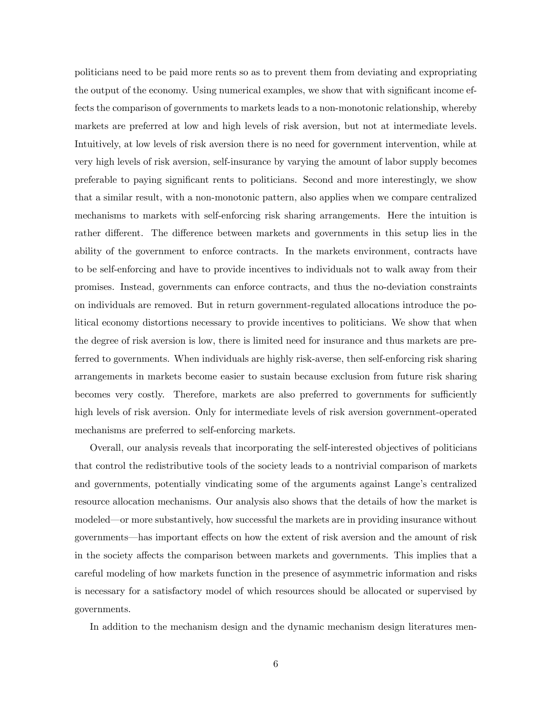politicians need to be paid more rents so as to prevent them from deviating and expropriating the output of the economy. Using numerical examples, we show that with significant income effects the comparison of governments to markets leads to a non-monotonic relationship, whereby markets are preferred at low and high levels of risk aversion, but not at intermediate levels. Intuitively, at low levels of risk aversion there is no need for government intervention, while at very high levels of risk aversion, self-insurance by varying the amount of labor supply becomes preferable to paying signiÖcant rents to politicians. Second and more interestingly, we show that a similar result, with a non-monotonic pattern, also applies when we compare centralized mechanisms to markets with self-enforcing risk sharing arrangements. Here the intuition is rather different. The difference between markets and governments in this setup lies in the ability of the government to enforce contracts. In the markets environment, contracts have to be self-enforcing and have to provide incentives to individuals not to walk away from their promises. Instead, governments can enforce contracts, and thus the no-deviation constraints on individuals are removed. But in return government-regulated allocations introduce the political economy distortions necessary to provide incentives to politicians. We show that when the degree of risk aversion is low, there is limited need for insurance and thus markets are preferred to governments. When individuals are highly risk-averse, then self-enforcing risk sharing arrangements in markets become easier to sustain because exclusion from future risk sharing becomes very costly. Therefore, markets are also preferred to governments for sufficiently high levels of risk aversion. Only for intermediate levels of risk aversion government-operated mechanisms are preferred to self-enforcing markets.

Overall, our analysis reveals that incorporating the self-interested objectives of politicians that control the redistributive tools of the society leads to a nontrivial comparison of markets and governments, potentially vindicating some of the arguments against Lange's centralized resource allocation mechanisms. Our analysis also shows that the details of how the market is modeled—or more substantively, how successful the markets are in providing insurance without governments—has important effects on how the extent of risk aversion and the amount of risk in the society affects the comparison between markets and governments. This implies that a careful modeling of how markets function in the presence of asymmetric information and risks is necessary for a satisfactory model of which resources should be allocated or supervised by governments.

In addition to the mechanism design and the dynamic mechanism design literatures men-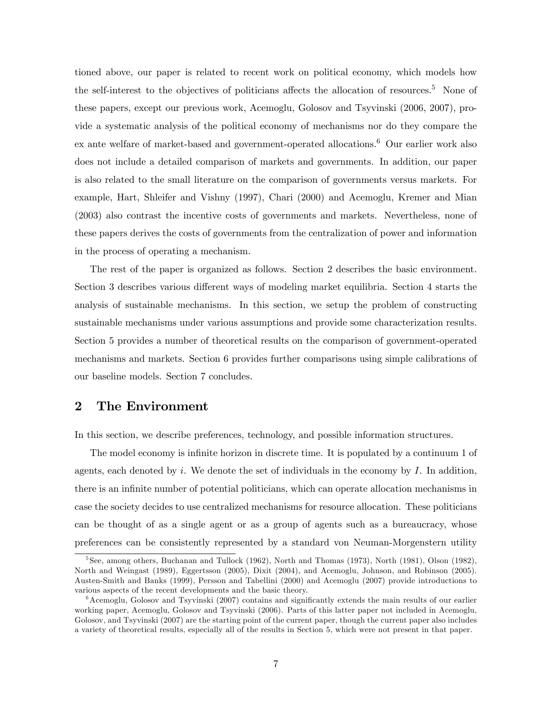tioned above, our paper is related to recent work on political economy, which models how the self-interest to the objectives of politicians affects the allocation of resources.<sup>5</sup> None of these papers, except our previous work, Acemoglu, Golosov and Tsyvinski (2006, 2007), provide a systematic analysis of the political economy of mechanisms nor do they compare the ex ante welfare of market-based and government-operated allocations.<sup>6</sup> Our earlier work also does not include a detailed comparison of markets and governments. In addition, our paper is also related to the small literature on the comparison of governments versus markets. For example, Hart, Shleifer and Vishny (1997), Chari (2000) and Acemoglu, Kremer and Mian (2003) also contrast the incentive costs of governments and markets. Nevertheless, none of these papers derives the costs of governments from the centralization of power and information in the process of operating a mechanism.

The rest of the paper is organized as follows. Section 2 describes the basic environment. Section 3 describes various different ways of modeling market equilibria. Section 4 starts the analysis of sustainable mechanisms. In this section, we setup the problem of constructing sustainable mechanisms under various assumptions and provide some characterization results. Section 5 provides a number of theoretical results on the comparison of government-operated mechanisms and markets. Section 6 provides further comparisons using simple calibrations of our baseline models. Section 7 concludes.

# 2 The Environment

In this section, we describe preferences, technology, and possible information structures.

The model economy is infinite horizon in discrete time. It is populated by a continuum 1 of agents, each denoted by i. We denote the set of individuals in the economy by  $I$ . In addition, there is an infinite number of potential politicians, which can operate allocation mechanisms in case the society decides to use centralized mechanisms for resource allocation. These politicians can be thought of as a single agent or as a group of agents such as a bureaucracy, whose preferences can be consistently represented by a standard von Neuman-Morgenstern utility

<sup>5</sup> See, among others, Buchanan and Tullock (1962), North and Thomas (1973), North (1981), Olson (1982), North and Weingast (1989), Eggertsson (2005), Dixit (2004), and Acemoglu, Johnson, and Robinson (2005). Austen-Smith and Banks (1999), Persson and Tabellini (2000) and Acemoglu (2007) provide introductions to various aspects of the recent developments and the basic theory.

 $6$ Acemoglu, Golosov and Tsyvinski (2007) contains and significantly extends the main results of our earlier working paper, Acemoglu, Golosov and Tsyvinski (2006). Parts of this latter paper not included in Acemoglu, Golosov, and Tsyvinski (2007) are the starting point of the current paper, though the current paper also includes a variety of theoretical results, especially all of the results in Section 5, which were not present in that paper.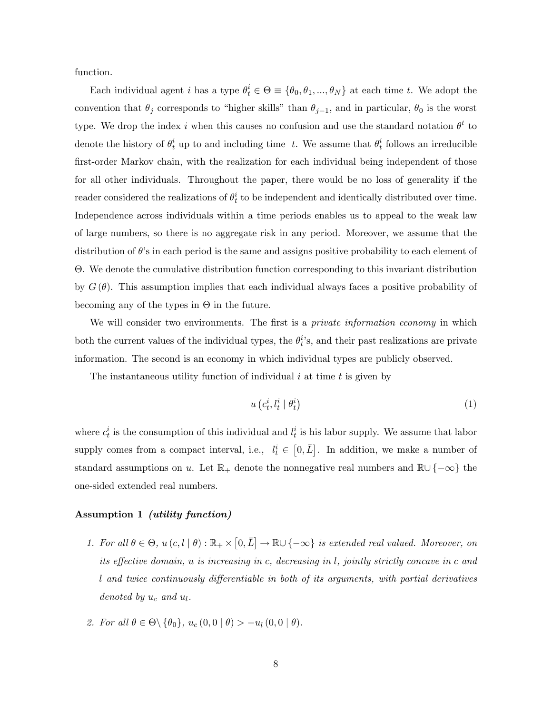function.

Each individual agent *i* has a type  $\theta_t^i \in \Theta \equiv \{\theta_0, \theta_1, ..., \theta_N\}$  at each time *t*. We adopt the convention that  $\theta_j$  corresponds to "higher skills" than  $\theta_{j-1}$ , and in particular,  $\theta_0$  is the worst type. We drop the index i when this causes no confusion and use the standard notation  $\theta^t$  to denote the history of  $\theta_t^i$  up to and including time t. We assume that  $\theta_t^i$  follows an irreducible first-order Markov chain, with the realization for each individual being independent of those for all other individuals. Throughout the paper, there would be no loss of generality if the reader considered the realizations of  $\theta_t^i$  to be independent and identically distributed over time. Independence across individuals within a time periods enables us to appeal to the weak law of large numbers, so there is no aggregate risk in any period. Moreover, we assume that the distribution of  $\theta$ 's in each period is the same and assigns positive probability to each element of -. We denote the cumulative distribution function corresponding to this invariant distribution by  $G(\theta)$ . This assumption implies that each individual always faces a positive probability of becoming any of the types in  $\Theta$  in the future.

We will consider two environments. The first is a *private information economy* in which both the current values of the individual types, the  $\theta_t^i$ 's, and their past realizations are private information. The second is an economy in which individual types are publicly observed.

The instantaneous utility function of individual  $i$  at time  $t$  is given by

$$
u\left(c_t^i, l_t^i \mid \theta_t^i\right) \tag{1}
$$

where  $c_t^i$  is the consumption of this individual and  $l_t^i$  is his labor supply. We assume that labor supply comes from a compact interval, i.e.,  $l_t^i \in [0, \bar{L}]$ . In addition, we make a number of standard assumptions on u. Let  $\mathbb{R}_+$  denote the nonnegative real numbers and  $\mathbb{R} \cup \{-\infty\}$  the one-sided extended real numbers.

#### Assumption 1 (utility function)

- 1. For all  $\theta \in \Theta$ ,  $u(c, l \mid \theta) : \mathbb{R}_+ \times [0, \bar{L}] \to \mathbb{R} \cup \{-\infty\}$  is extended real valued. Moreover, on its effective domain,  $u$  is increasing in  $c$ , decreasing in  $l$ , jointly strictly concave in  $c$  and l and twice continuously differentiable in both of its arguments, with partial derivatives denoted by  $u_c$  and  $u_l$ .
- 2. For all  $\theta \in \Theta \setminus \{\theta_0\}, u_c(0,0 | \theta) > -u_l(0,0 | \theta)$ .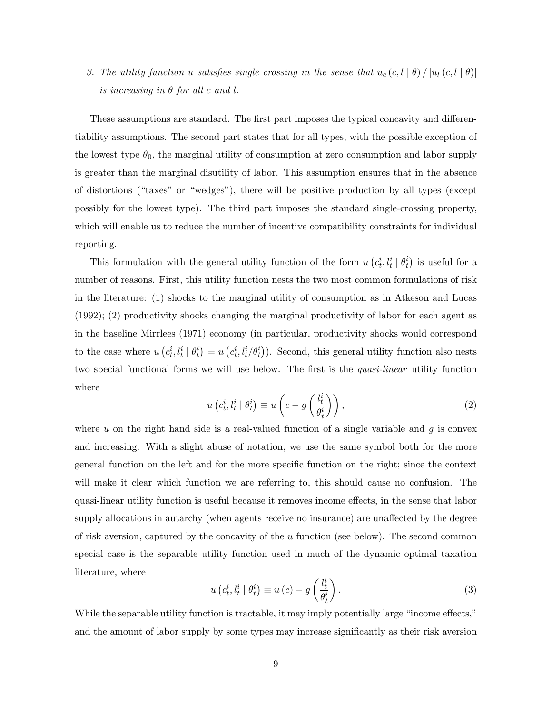3. The utility function u satisfies single crossing in the sense that  $u_c (c, l | \theta) / |u_l (c, l | \theta)|$ is increasing in  $\theta$  for all c and l.

These assumptions are standard. The first part imposes the typical concavity and differentiability assumptions. The second part states that for all types, with the possible exception of the lowest type  $\theta_0$ , the marginal utility of consumption at zero consumption and labor supply is greater than the marginal disutility of labor. This assumption ensures that in the absence of distortions ("taxes" or "wedges"), there will be positive production by all types (except possibly for the lowest type). The third part imposes the standard single-crossing property, which will enable us to reduce the number of incentive compatibility constraints for individual reporting.

This formulation with the general utility function of the form  $u(c_t^i, l_t^i | \theta_t^i)$  is useful for a number of reasons. First, this utility function nests the two most common formulations of risk in the literature: (1) shocks to the marginal utility of consumption as in Atkeson and Lucas (1992); (2) productivity shocks changing the marginal productivity of labor for each agent as in the baseline Mirrlees (1971) economy (in particular, productivity shocks would correspond to the case where  $u(c_t^i, l_t^i | \theta_t^i) = u(c_t^i, l_t^i / \theta_t^i)$ . Second, this general utility function also nests two special functional forms we will use below. The first is the *quasi-linear* utility function where

$$
u\left(c_t^i, l_t^i \mid \theta_t^i\right) \equiv u\left(c - g\left(\frac{l_t^i}{\theta_t^i}\right)\right),\tag{2}
$$

where u on the right hand side is a real-valued function of a single variable and  $g$  is convex and increasing. With a slight abuse of notation, we use the same symbol both for the more general function on the left and for the more specific function on the right; since the context will make it clear which function we are referring to, this should cause no confusion. The quasi-linear utility function is useful because it removes income effects, in the sense that labor supply allocations in autarchy (when agents receive no insurance) are unaffected by the degree of risk aversion, captured by the concavity of the u function (see below). The second common special case is the separable utility function used in much of the dynamic optimal taxation literature, where

$$
u\left(c_t^i, l_t^i \mid \theta_t^i\right) \equiv u\left(c\right) - g\left(\frac{l_t^i}{\theta_t^i}\right). \tag{3}
$$

While the separable utility function is tractable, it may imply potentially large "income effects," and the amount of labor supply by some types may increase significantly as their risk aversion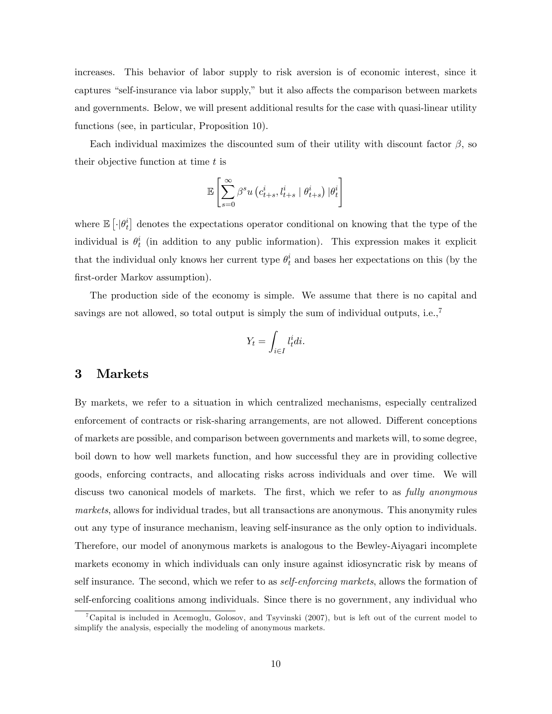increases. This behavior of labor supply to risk aversion is of economic interest, since it captures "self-insurance via labor supply," but it also affects the comparison between markets and governments. Below, we will present additional results for the case with quasi-linear utility functions (see, in particular, Proposition 10).

Each individual maximizes the discounted sum of their utility with discount factor  $\beta$ , so their objective function at time t is

$$
\mathbb{E}\left[\sum_{s=0}^{\infty}\beta^s u\left(c_{t+s}^i,l_{t+s}^i\mid\theta_{t+s}^i\right)|\theta_t^i\right]
$$

where  $\mathbb{E}\left[\cdot|\theta_t^i\right]$  denotes the expectations operator conditional on knowing that the type of the individual is  $\theta_t^i$  (in addition to any public information). This expression makes it explicit that the individual only knows her current type  $\theta_t^i$  and bases her expectations on this (by the first-order Markov assumption).

The production side of the economy is simple. We assume that there is no capital and savings are not allowed, so total output is simply the sum of individual outputs, i.e.,<sup>7</sup>

$$
Y_t = \int_{i \in I} l_t^i dt.
$$

### 3 Markets

By markets, we refer to a situation in which centralized mechanisms, especially centralized enforcement of contracts or risk-sharing arrangements, are not allowed. Different conceptions of markets are possible, and comparison between governments and markets will, to some degree, boil down to how well markets function, and how successful they are in providing collective goods, enforcing contracts, and allocating risks across individuals and over time. We will discuss two canonical models of markets. The first, which we refer to as *fully anonymous* markets, allows for individual trades, but all transactions are anonymous. This anonymity rules out any type of insurance mechanism, leaving self-insurance as the only option to individuals. Therefore, our model of anonymous markets is analogous to the Bewley-Aiyagari incomplete markets economy in which individuals can only insure against idiosyncratic risk by means of self insurance. The second, which we refer to as self-enforcing markets, allows the formation of self-enforcing coalitions among individuals. Since there is no government, any individual who

<sup>&</sup>lt;sup>7</sup>Capital is included in Acemoglu, Golosov, and Tsyvinski (2007), but is left out of the current model to simplify the analysis, especially the modeling of anonymous markets.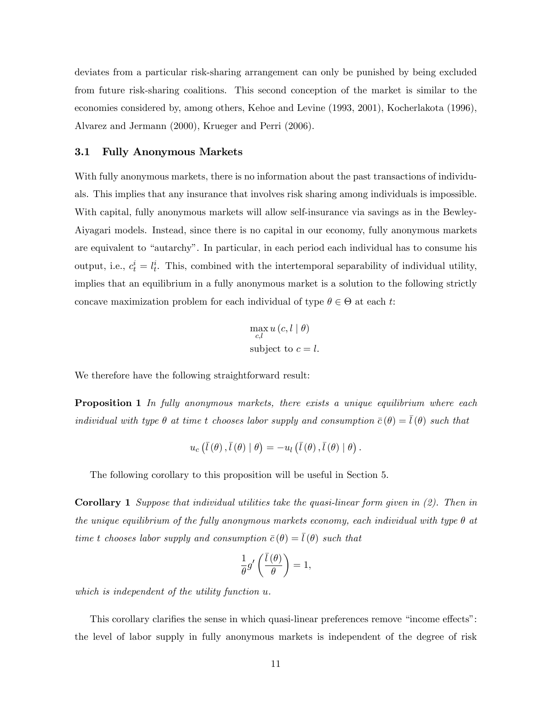deviates from a particular risk-sharing arrangement can only be punished by being excluded from future risk-sharing coalitions. This second conception of the market is similar to the economies considered by, among others, Kehoe and Levine (1993, 2001), Kocherlakota (1996), Alvarez and Jermann (2000), Krueger and Perri (2006).

#### 3.1 Fully Anonymous Markets

With fully anonymous markets, there is no information about the past transactions of individuals. This implies that any insurance that involves risk sharing among individuals is impossible. With capital, fully anonymous markets will allow self-insurance via savings as in the Bewley-Aiyagari models. Instead, since there is no capital in our economy, fully anonymous markets are equivalent to "autarchy". In particular, in each period each individual has to consume his output, i.e.,  $c_t^i = l_t^i$ . This, combined with the intertemporal separability of individual utility, implies that an equilibrium in a fully anonymous market is a solution to the following strictly concave maximization problem for each individual of type  $\theta \in \Theta$  at each t:

$$
\max_{c,l} u(c, l | \theta)
$$
  
subject to  $c = l$ .

We therefore have the following straightforward result:

**Proposition 1** In fully anonymous markets, there exists a unique equilibrium where each individual with type  $\theta$  at time t chooses labor supply and consumption  $\bar{c}(\theta) = \bar{l}(\theta)$  such that

$$
u_c\left(\bar{l}(\theta),\bar{l}(\theta)\mid\theta\right)=-u_l\left(\bar{l}(\theta),\bar{l}(\theta)\mid\theta\right).
$$

The following corollary to this proposition will be useful in Section 5.

**Corollary 1** Suppose that individual utilities take the quasi-linear form given in  $(2)$ . Then in the unique equilibrium of the fully anonymous markets economy, each individual with type  $\theta$  at time t chooses labor supply and consumption  $\bar{c}(\theta) = \bar{l}(\theta)$  such that

$$
\frac{1}{\theta}g'\left(\frac{\bar{l}(\theta)}{\theta}\right)=1,
$$

which is independent of the utility function u.

This corollary clarifies the sense in which quasi-linear preferences remove "income effects": the level of labor supply in fully anonymous markets is independent of the degree of risk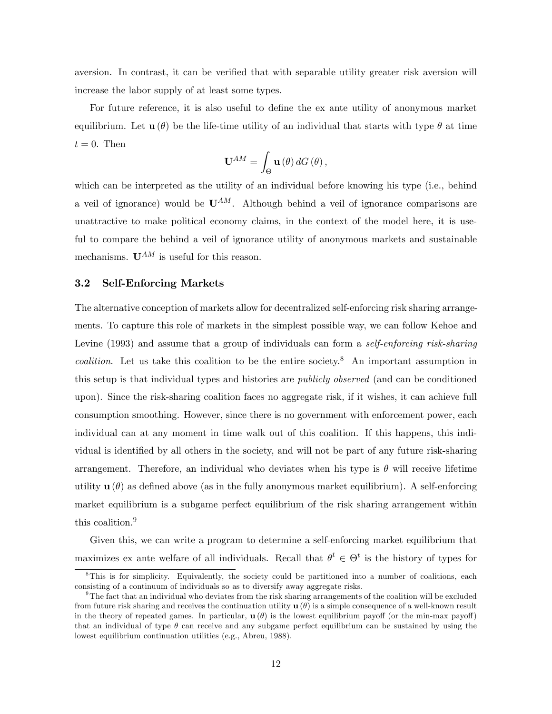aversion. In contrast, it can be verified that with separable utility greater risk aversion will increase the labor supply of at least some types.

For future reference, it is also useful to define the ex ante utility of anonymous market equilibrium. Let  $\mathbf{u}(\theta)$  be the life-time utility of an individual that starts with type  $\theta$  at time  $t = 0$ . Then

$$
\mathbf{U}^{AM}=\int_{\Theta}\mathbf{u}\left(\theta\right)dG\left(\theta\right),\,
$$

which can be interpreted as the utility of an individual before knowing his type (i.e., behind a veil of ignorance) would be  $U^{AM}$ . Although behind a veil of ignorance comparisons are unattractive to make political economy claims, in the context of the model here, it is useful to compare the behind a veil of ignorance utility of anonymous markets and sustainable mechanisms.  $U^{AM}$  is useful for this reason.

### 3.2 Self-Enforcing Markets

The alternative conception of markets allow for decentralized self-enforcing risk sharing arrangements. To capture this role of markets in the simplest possible way, we can follow Kehoe and Levine (1993) and assume that a group of individuals can form a self-enforcing risk-sharing *coalition*. Let us take this coalition to be the entire society.<sup>8</sup> An important assumption in this setup is that individual types and histories are publicly observed (and can be conditioned upon). Since the risk-sharing coalition faces no aggregate risk, if it wishes, it can achieve full consumption smoothing. However, since there is no government with enforcement power, each individual can at any moment in time walk out of this coalition. If this happens, this individual is identified by all others in the society, and will not be part of any future risk-sharing arrangement. Therefore, an individual who deviates when his type is  $\theta$  will receive lifetime utility  $\mathbf{u}(\theta)$  as defined above (as in the fully anonymous market equilibrium). A self-enforcing market equilibrium is a subgame perfect equilibrium of the risk sharing arrangement within this coalition.<sup>9</sup>

Given this, we can write a program to determine a self-enforcing market equilibrium that maximizes ex ante welfare of all individuals. Recall that  $\theta^t \in \Theta^t$  is the history of types for

<sup>&</sup>lt;sup>8</sup>This is for simplicity. Equivalently, the society could be partitioned into a number of coalitions, each consisting of a continuum of individuals so as to diversify away aggregate risks.

<sup>&</sup>lt;sup>9</sup>The fact that an individual who deviates from the risk sharing arrangements of the coalition will be excluded from future risk sharing and receives the continuation utility  $\mathbf{u}(\theta)$  is a simple consequence of a well-known result in the theory of repeated games. In particular,  $\mathbf{u}(\theta)$  is the lowest equilibrium payoff (or the min-max payoff) that an individual of type  $\theta$  can receive and any subgame perfect equilibrium can be sustained by using the lowest equilibrium continuation utilities (e.g., Abreu, 1988).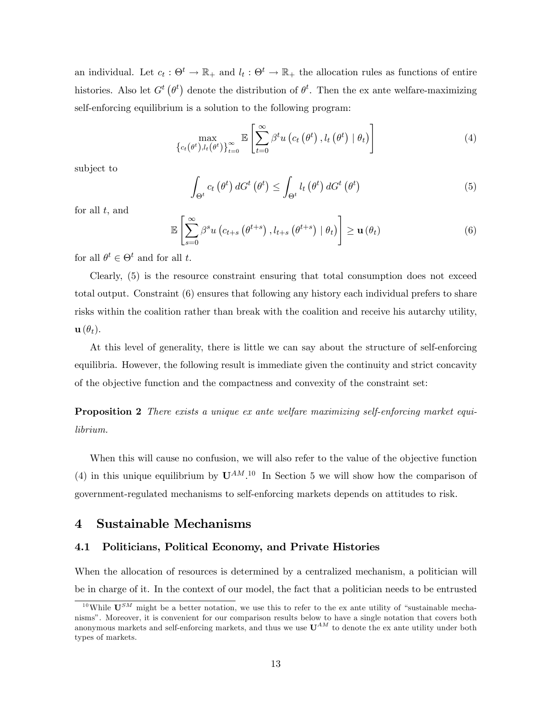an individual. Let  $c_t: \Theta^t \to \mathbb{R}_+$  and  $l_t: \Theta^t \to \mathbb{R}_+$  the allocation rules as functions of entire histories. Also let  $G^t$  ( $\theta^t$ ) denote the distribution of  $\theta^t$ . Then the ex ante welfare-maximizing self-enforcing equilibrium is a solution to the following program:

$$
\max_{\left\{c_t(\theta^t), l_t(\theta^t)\right\}_{t=0}^{\infty}} \mathbb{E}\left[\sum_{t=0}^{\infty} \beta^t u\left(c_t\left(\theta^t\right), l_t\left(\theta^t\right) \mid \theta_t\right)\right]
$$
(4)

subject to

$$
\int_{\Theta^t} c_t \left(\theta^t\right) dG^t \left(\theta^t\right) \le \int_{\Theta^t} l_t \left(\theta^t\right) dG^t \left(\theta^t\right) \tag{5}
$$

for all  $t$ , and

$$
\mathbb{E}\left[\sum_{s=0}^{\infty} \beta^s u\left(c_{t+s}\left(\theta^{t+s}\right), l_{t+s}\left(\theta^{t+s}\right) \mid \theta_t\right)\right] \geq \mathbf{u}\left(\theta_t\right) \tag{6}
$$

for all  $\theta^t \in \Theta^t$  and for all t.

Clearly, (5) is the resource constraint ensuring that total consumption does not exceed total output. Constraint (6) ensures that following any history each individual prefers to share risks within the coalition rather than break with the coalition and receive his autarchy utility,  $\mathbf{u}(\theta_t)$ .

At this level of generality, there is little we can say about the structure of self-enforcing equilibria. However, the following result is immediate given the continuity and strict concavity of the objective function and the compactness and convexity of the constraint set:

Proposition 2 There exists a unique ex ante welfare maximizing self-enforcing market equilibrium.

When this will cause no confusion, we will also refer to the value of the objective function (4) in this unique equilibrium by  $U^{AM}$ .<sup>10</sup> In Section 5 we will show how the comparison of government-regulated mechanisms to self-enforcing markets depends on attitudes to risk.

### 4 Sustainable Mechanisms

### 4.1 Politicians, Political Economy, and Private Histories

When the allocation of resources is determined by a centralized mechanism, a politician will be in charge of it. In the context of our model, the fact that a politician needs to be entrusted

 $10$ While  $\mathbf{U}^{SM}$  might be a better notation, we use this to refer to the ex ante utility of "sustainable mechanismsî. Moreover, it is convenient for our comparison results below to have a single notation that covers both anonymous markets and self-enforcing markets, and thus we use  $U^{AM}$  to denote the ex ante utility under both types of markets.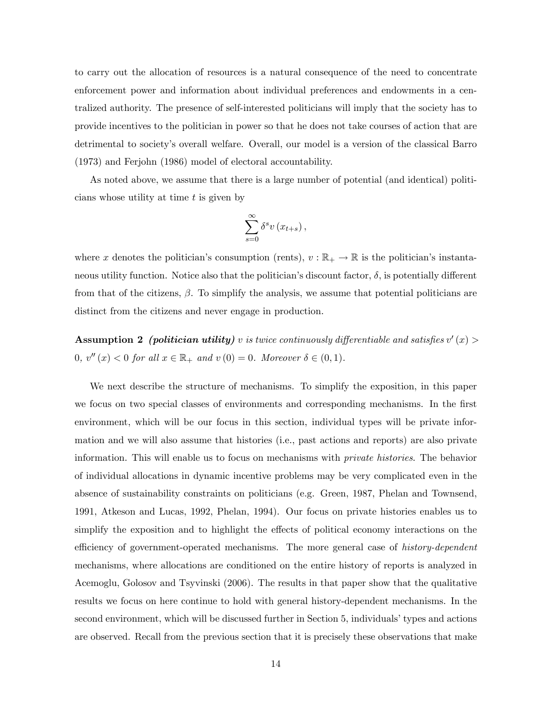to carry out the allocation of resources is a natural consequence of the need to concentrate enforcement power and information about individual preferences and endowments in a centralized authority. The presence of self-interested politicians will imply that the society has to provide incentives to the politician in power so that he does not take courses of action that are detrimental to societyís overall welfare. Overall, our model is a version of the classical Barro (1973) and Ferjohn (1986) model of electoral accountability.

As noted above, we assume that there is a large number of potential (and identical) politicians whose utility at time  $t$  is given by

$$
\sum_{s=0}^{\infty} \delta^s v(x_{t+s}),
$$

where x denotes the politician's consumption (rents),  $v : \mathbb{R}_+ \to \mathbb{R}$  is the politician's instantaneous utility function. Notice also that the politician's discount factor,  $\delta$ , is potentially different from that of the citizens,  $\beta$ . To simplify the analysis, we assume that potential politicians are distinct from the citizens and never engage in production.

**Assumption 2** (politician utility) v is twice continuously differentiable and satisfies  $v'(x)$  $0, v''(x) < 0 \text{ for all } x \in \mathbb{R}_+ \text{ and } v(0) = 0.$  Moreover  $\delta \in (0, 1)$ .

We next describe the structure of mechanisms. To simplify the exposition, in this paper we focus on two special classes of environments and corresponding mechanisms. In the first environment, which will be our focus in this section, individual types will be private information and we will also assume that histories (i.e., past actions and reports) are also private information. This will enable us to focus on mechanisms with private histories. The behavior of individual allocations in dynamic incentive problems may be very complicated even in the absence of sustainability constraints on politicians (e.g. Green, 1987, Phelan and Townsend, 1991, Atkeson and Lucas, 1992, Phelan, 1994). Our focus on private histories enables us to simplify the exposition and to highlight the effects of political economy interactions on the efficiency of government-operated mechanisms. The more general case of *history-dependent* mechanisms, where allocations are conditioned on the entire history of reports is analyzed in Acemoglu, Golosov and Tsyvinski (2006). The results in that paper show that the qualitative results we focus on here continue to hold with general history-dependent mechanisms. In the second environment, which will be discussed further in Section 5, individuals' types and actions are observed. Recall from the previous section that it is precisely these observations that make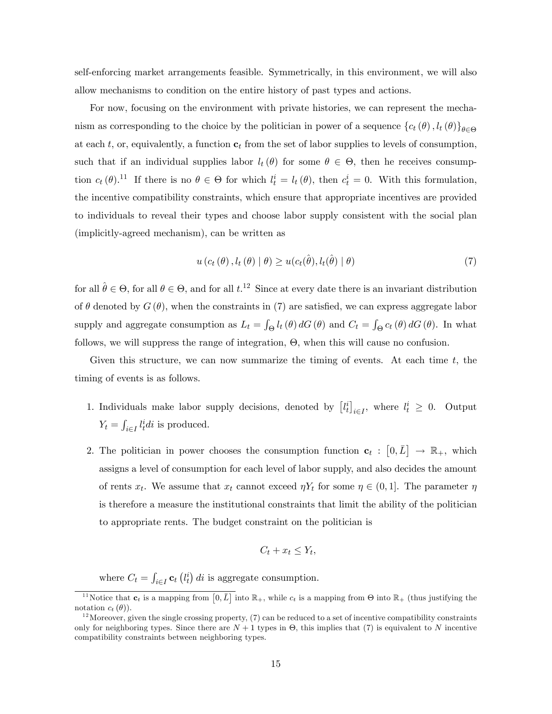self-enforcing market arrangements feasible. Symmetrically, in this environment, we will also allow mechanisms to condition on the entire history of past types and actions.

For now, focusing on the environment with private histories, we can represent the mechanism as corresponding to the choice by the politician in power of a sequence  $\{c_t(\theta), l_t(\theta)\}_{\theta \in \Theta}$ at each t, or, equivalently, a function  $c_t$  from the set of labor supplies to levels of consumption, such that if an individual supplies labor  $l_t(\theta)$  for some  $\theta \in \Theta$ , then he receives consumption  $c_t(\theta)$ .<sup>11</sup> If there is no  $\theta \in \Theta$  for which  $l_t^i = l_t(\theta)$ , then  $c_t^i = 0$ . With this formulation, the incentive compatibility constraints, which ensure that appropriate incentives are provided to individuals to reveal their types and choose labor supply consistent with the social plan (implicitly-agreed mechanism), can be written as

$$
u(c_t(\theta), l_t(\theta) | \theta) \ge u(c_t(\hat{\theta}), l_t(\hat{\theta}) | \theta)
$$
\n<sup>(7)</sup>

for all  $\hat{\theta} \in \Theta$ , for all  $\theta \in \Theta$ , and for all  $t^{12}$ . Since at every date there is an invariant distribution of  $\theta$  denoted by  $G(\theta)$ , when the constraints in (7) are satisfied, we can express aggregate labor supply and aggregate consumption as  $L_t = \int_{\Theta} l_t(\theta) dG(\theta)$  and  $C_t = \int_{\Theta} c_t(\theta) dG(\theta)$ . In what follows, we will suppress the range of integration,  $\Theta$ , when this will cause no confusion.

Given this structure, we can now summarize the timing of events. At each time  $t$ , the timing of events is as follows.

- 1. Individuals make labor supply decisions, denoted by  $\begin{bmatrix} l_t^i \end{bmatrix}$  $_{i\in I}$ , where  $l_t^i \geq 0$ . Output  $Y_t = \int$  $\sum_{i\in I} l_t^i di$  is produced.
- 2. The politician in power chooses the consumption function  $\mathbf{c}_t : [0, \bar{L}] \to \mathbb{R}_+$ , which assigns a level of consumption for each level of labor supply, and also decides the amount of rents  $x_t$ . We assume that  $x_t$  cannot exceed  $\eta Y_t$  for some  $\eta \in (0, 1]$ . The parameter  $\eta$ is therefore a measure the institutional constraints that limit the ability of the politician to appropriate rents. The budget constraint on the politician is

$$
C_t + x_t \leq Y_t,
$$

where  $C_t = \int$  $\sum_{i\in I} \mathbf{c}_t(l_t^i)$  di is aggregate consumption.

<sup>&</sup>lt;sup>11</sup> Notice that  $c_t$  is a mapping from  $[0,\bar{L}]$  into  $\mathbb{R}_+$ , while  $c_t$  is a mapping from  $\Theta$  into  $\mathbb{R}_+$  (thus justifying the notation  $c_t(\theta)$ .

 $12$  Moreover, given the single crossing property, (7) can be reduced to a set of incentive compatibility constraints only for neighboring types. Since there are  $N + 1$  types in  $\Theta$ , this implies that (7) is equivalent to N incentive compatibility constraints between neighboring types.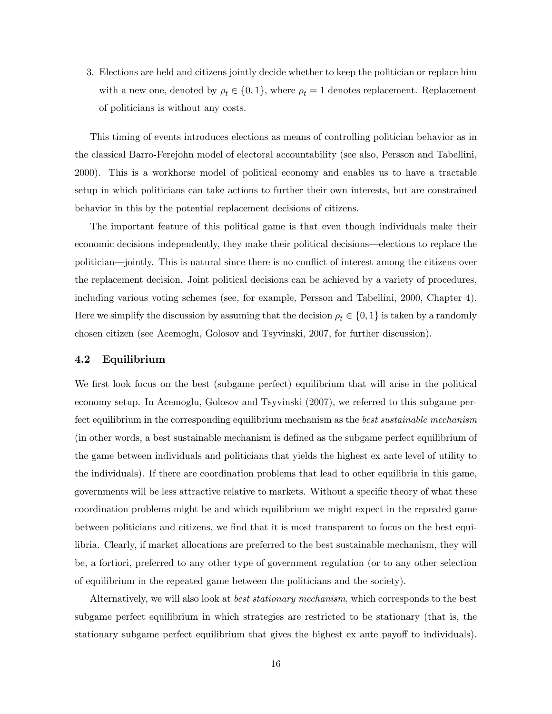3. Elections are held and citizens jointly decide whether to keep the politician or replace him with a new one, denoted by  $\rho_t \in \{0, 1\}$ , where  $\rho_t = 1$  denotes replacement. Replacement of politicians is without any costs.

This timing of events introduces elections as means of controlling politician behavior as in the classical Barro-Ferejohn model of electoral accountability (see also, Persson and Tabellini, 2000). This is a workhorse model of political economy and enables us to have a tractable setup in which politicians can take actions to further their own interests, but are constrained behavior in this by the potential replacement decisions of citizens.

The important feature of this political game is that even though individuals make their economic decisions independently, they make their political decisions—elections to replace the politician—jointly. This is natural since there is no conflict of interest among the citizens over the replacement decision. Joint political decisions can be achieved by a variety of procedures, including various voting schemes (see, for example, Persson and Tabellini, 2000, Chapter 4). Here we simplify the discussion by assuming that the decision  $\rho_t \in \{0, 1\}$  is taken by a randomly chosen citizen (see Acemoglu, Golosov and Tsyvinski, 2007, for further discussion).

### 4.2 Equilibrium

We first look focus on the best (subgame perfect) equilibrium that will arise in the political economy setup. In Acemoglu, Golosov and Tsyvinski (2007), we referred to this subgame perfect equilibrium in the corresponding equilibrium mechanism as the *best sustainable mechanism*  $\sin$  other words, a best sustainable mechanism is defined as the subgame perfect equilibrium of the game between individuals and politicians that yields the highest ex ante level of utility to the individuals). If there are coordination problems that lead to other equilibria in this game, governments will be less attractive relative to markets. Without a specific theory of what these coordination problems might be and which equilibrium we might expect in the repeated game between politicians and citizens, we find that it is most transparent to focus on the best equilibria. Clearly, if market allocations are preferred to the best sustainable mechanism, they will be, a fortiori, preferred to any other type of government regulation (or to any other selection of equilibrium in the repeated game between the politicians and the society).

Alternatively, we will also look at *best stationary mechanism*, which corresponds to the best subgame perfect equilibrium in which strategies are restricted to be stationary (that is, the stationary subgame perfect equilibrium that gives the highest ex ante payoff to individuals).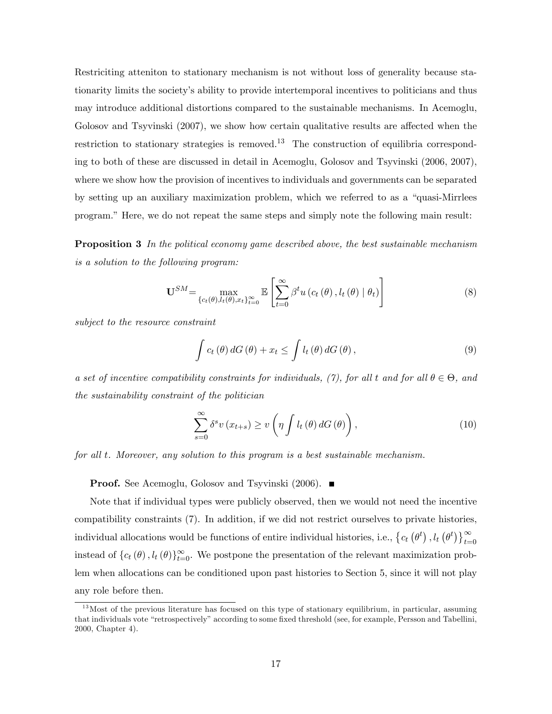Restriciting atteniton to stationary mechanism is not without loss of generality because stationarity limits the societyís ability to provide intertemporal incentives to politicians and thus may introduce additional distortions compared to the sustainable mechanisms. In Acemoglu, Golosov and Tsyvinski  $(2007)$ , we show how certain qualitative results are affected when the restriction to stationary strategies is removed.<sup>13</sup> The construction of equilibria corresponding to both of these are discussed in detail in Acemoglu, Golosov and Tsyvinski (2006, 2007), where we show how the provision of incentives to individuals and governments can be separated by setting up an auxiliary maximization problem, which we referred to as a "quasi-Mirrlees" program." Here, we do not repeat the same steps and simply note the following main result:

**Proposition 3** In the political economy game described above, the best sustainable mechanism is a solution to the following program:

$$
\mathbf{U}^{SM} = \max_{\{c_t(\theta), l_t(\theta), x_t\}_{t=0}^{\infty}} \mathbb{E}\left[\sum_{t=0}^{\infty} \beta^t u\left(c_t\left(\theta\right), l_t\left(\theta\right) \mid \theta_t\right)\right]
$$
(8)

subject to the resource constraint

$$
\int c_t(\theta) dG(\theta) + x_t \le \int l_t(\theta) dG(\theta), \qquad (9)
$$

a set of incentive compatibility constraints for individuals, (7), for all t and for all  $\theta \in \Theta$ , and the sustainability constraint of the politician

$$
\sum_{s=0}^{\infty} \delta^s v(x_{t+s}) \ge v \left( \eta \int l_t(\theta) dG(\theta) \right), \qquad (10)
$$

for all t. Moreover, any solution to this program is a best sustainable mechanism.

**Proof.** See Acemoglu, Golosov and Tsyvinski (2006).  $\blacksquare$ 

Note that if individual types were publicly observed, then we would not need the incentive compatibility constraints (7). In addition, if we did not restrict ourselves to private histories, individual allocations would be functions of entire individual histories, i.e.,  $\{c_t(\theta^t), l_t(\theta^t)\}_{t=0}^{\infty}$ instead of  $\{c_t(\theta), l_t(\theta)\}_{t=0}^{\infty}$ . We postpone the presentation of the relevant maximization problem when allocations can be conditioned upon past histories to Section 5, since it will not play any role before then.

<sup>&</sup>lt;sup>13</sup> Most of the previous literature has focused on this type of stationary equilibrium, in particular, assuming that individuals vote "retrospectively" according to some fixed threshold (see, for example, Persson and Tabellini, 2000, Chapter 4).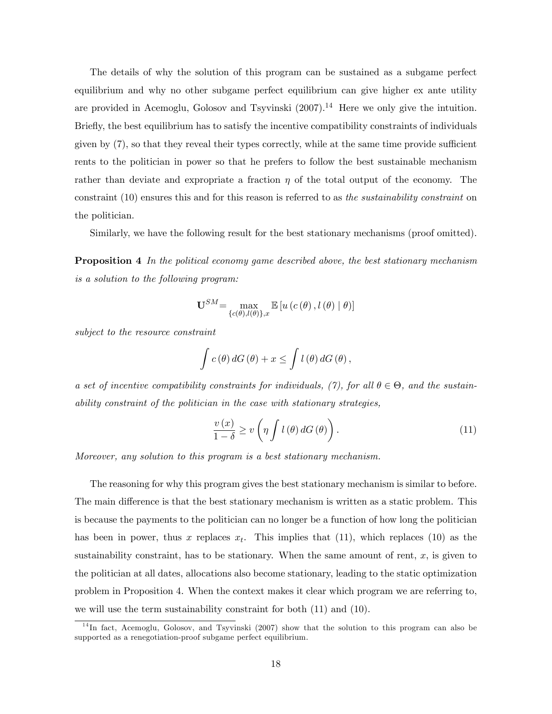The details of why the solution of this program can be sustained as a subgame perfect equilibrium and why no other subgame perfect equilibrium can give higher ex ante utility are provided in Acemoglu, Golosov and Tsyvinski  $(2007).<sup>14</sup>$  Here we only give the intuition. Briefly, the best equilibrium has to satisfy the incentive compatibility constraints of individuals given by  $(7)$ , so that they reveal their types correctly, while at the same time provide sufficient rents to the politician in power so that he prefers to follow the best sustainable mechanism rather than deviate and expropriate a fraction  $\eta$  of the total output of the economy. The constraint (10) ensures this and for this reason is referred to as the sustainability constraint on the politician.

Similarly, we have the following result for the best stationary mechanisms (proof omitted).

**Proposition 4** In the political economy game described above, the best stationary mechanism is a solution to the following program:

$$
\mathbf{U}^{SM}\!=\!\max_{\left\{ c\left(\theta\right),l\left(\theta\right)\right\} ,x}\mathbb{E}\left[u\left(c\left(\theta\right),l\left(\theta\right)\mid\theta\right)\right]
$$

subject to the resource constraint

$$
\int c(\theta) dG(\theta) + x \leq \int l(\theta) dG(\theta),
$$

a set of incentive compatibility constraints for individuals, (7), for all  $\theta \in \Theta$ , and the sustainability constraint of the politician in the case with stationary strategies,

$$
\frac{v(x)}{1-\delta} \ge v\left(\eta \int l(\theta) dG(\theta)\right). \tag{11}
$$

Moreover, any solution to this program is a best stationary mechanism.

The reasoning for why this program gives the best stationary mechanism is similar to before. The main difference is that the best stationary mechanism is written as a static problem. This is because the payments to the politician can no longer be a function of how long the politician has been in power, thus x replaces  $x_t$ . This implies that (11), which replaces (10) as the sustainability constraint, has to be stationary. When the same amount of rent,  $x$ , is given to the politician at all dates, allocations also become stationary, leading to the static optimization problem in Proposition 4. When the context makes it clear which program we are referring to, we will use the term sustainability constraint for both (11) and (10).

<sup>&</sup>lt;sup>14</sup>In fact, Acemoglu, Golosov, and Tsyvinski (2007) show that the solution to this program can also be supported as a renegotiation-proof subgame perfect equilibrium.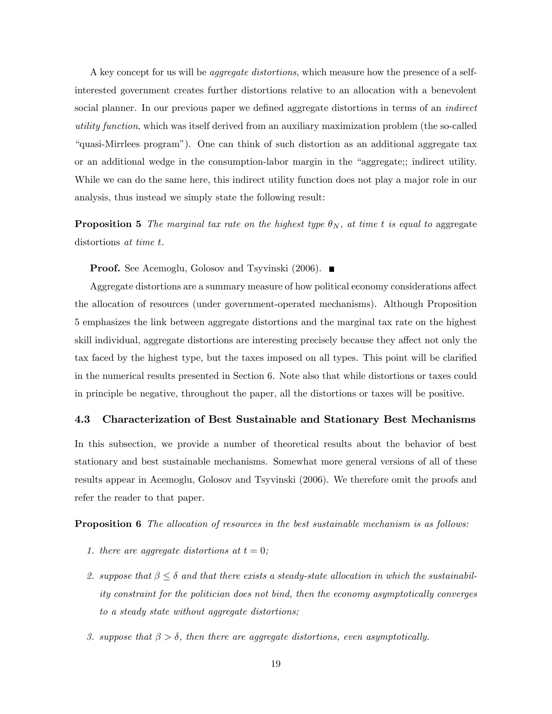A key concept for us will be aggregate distortions, which measure how the presence of a selfinterested government creates further distortions relative to an allocation with a benevolent social planner. In our previous paper we defined aggregate distortions in terms of an *indirect* utility function, which was itself derived from an auxiliary maximization problem (the so-called "quasi-Mirrlees program"). One can think of such distortion as an additional aggregate tax or an additional wedge in the consumption-labor margin in the "aggregate;; indirect utility. While we can do the same here, this indirect utility function does not play a major role in our analysis, thus instead we simply state the following result:

**Proposition 5** The marginal tax rate on the highest type  $\theta_N$ , at time t is equal to aggregate distortions at time t.

**Proof.** See Acemoglu, Golosov and Tsyvinski (2006). ■

Aggregate distortions are a summary measure of how political economy considerations affect the allocation of resources (under government-operated mechanisms). Although Proposition 5 emphasizes the link between aggregate distortions and the marginal tax rate on the highest skill individual, aggregate distortions are interesting precisely because they affect not only the tax faced by the highest type, but the taxes imposed on all types. This point will be clarified in the numerical results presented in Section 6. Note also that while distortions or taxes could in principle be negative, throughout the paper, all the distortions or taxes will be positive.

### 4.3 Characterization of Best Sustainable and Stationary Best Mechanisms

In this subsection, we provide a number of theoretical results about the behavior of best stationary and best sustainable mechanisms. Somewhat more general versions of all of these results appear in Acemoglu, Golosov and Tsyvinski (2006). We therefore omit the proofs and refer the reader to that paper.

**Proposition 6** The allocation of resources in the best sustainable mechanism is as follows:

- 1. there are aggregate distortions at  $t = 0$ ;
- 2. suppose that  $\beta \leq \delta$  and that there exists a steady-state allocation in which the sustainability constraint for the politician does not bind, then the economy asymptotically converges to a steady state without aggregate distortions;
- 3. suppose that  $\beta > \delta$ , then there are aggregate distortions, even asymptotically.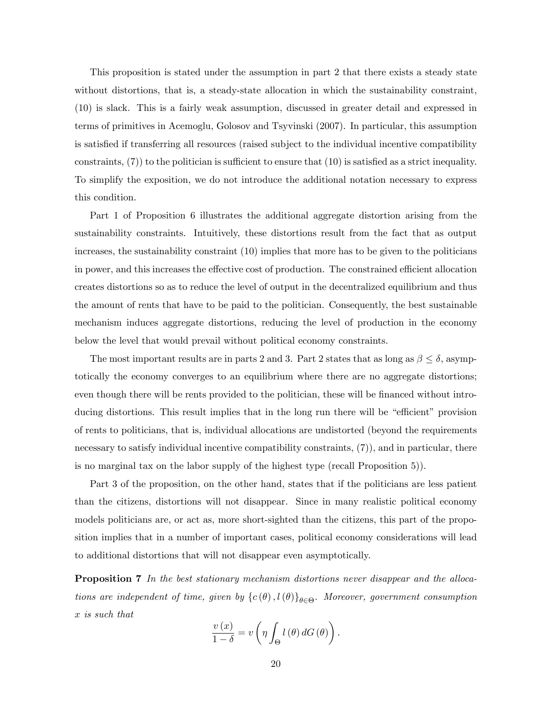This proposition is stated under the assumption in part 2 that there exists a steady state without distortions, that is, a steady-state allocation in which the sustainability constraint, (10) is slack. This is a fairly weak assumption, discussed in greater detail and expressed in terms of primitives in Acemoglu, Golosov and Tsyvinski (2007). In particular, this assumption is satisfied if transferring all resources (raised subject to the individual incentive compatibility constraints,  $(7)$  to the politician is sufficient to ensure that  $(10)$  is satisfied as a strict inequality. To simplify the exposition, we do not introduce the additional notation necessary to express this condition.

Part 1 of Proposition 6 illustrates the additional aggregate distortion arising from the sustainability constraints. Intuitively, these distortions result from the fact that as output increases, the sustainability constraint (10) implies that more has to be given to the politicians in power, and this increases the effective cost of production. The constrained efficient allocation creates distortions so as to reduce the level of output in the decentralized equilibrium and thus the amount of rents that have to be paid to the politician. Consequently, the best sustainable mechanism induces aggregate distortions, reducing the level of production in the economy below the level that would prevail without political economy constraints.

The most important results are in parts 2 and 3. Part 2 states that as long as  $\beta \leq \delta$ , asymptotically the economy converges to an equilibrium where there are no aggregate distortions; even though there will be rents provided to the politician, these will be financed without introducing distortions. This result implies that in the long run there will be "efficient" provision of rents to politicians, that is, individual allocations are undistorted (beyond the requirements necessary to satisfy individual incentive compatibility constraints, (7)), and in particular, there is no marginal tax on the labor supply of the highest type (recall Proposition 5)).

Part 3 of the proposition, on the other hand, states that if the politicians are less patient than the citizens, distortions will not disappear. Since in many realistic political economy models politicians are, or act as, more short-sighted than the citizens, this part of the proposition implies that in a number of important cases, political economy considerations will lead to additional distortions that will not disappear even asymptotically.

Proposition 7 In the best stationary mechanism distortions never disappear and the allocations are independent of time, given by  ${c(\theta), l(\theta)}_{\theta \in \Theta}$ . Moreover, government consumption x is such that

$$
\frac{v(x)}{1-\delta} = v\left(\eta \int_{\Theta} l(\theta) dG(\theta)\right).
$$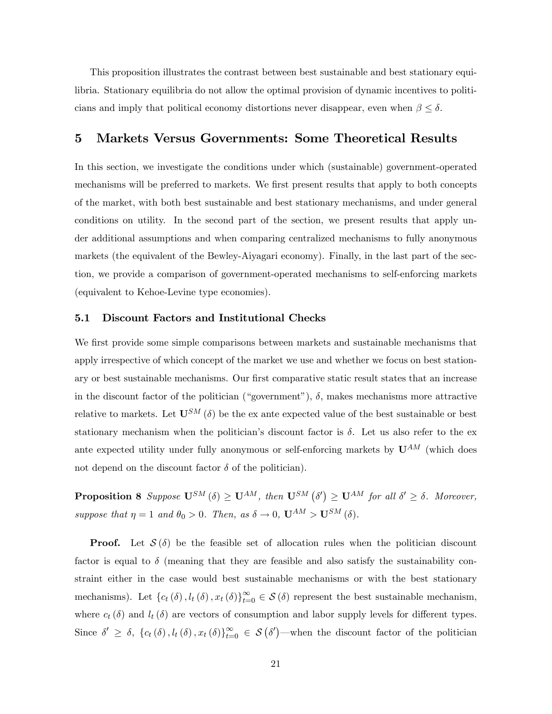This proposition illustrates the contrast between best sustainable and best stationary equilibria. Stationary equilibria do not allow the optimal provision of dynamic incentives to politicians and imply that political economy distortions never disappear, even when  $\beta \leq \delta$ .

### 5 Markets Versus Governments: Some Theoretical Results

In this section, we investigate the conditions under which (sustainable) government-operated mechanisms will be preferred to markets. We first present results that apply to both concepts of the market, with both best sustainable and best stationary mechanisms, and under general conditions on utility. In the second part of the section, we present results that apply under additional assumptions and when comparing centralized mechanisms to fully anonymous markets (the equivalent of the Bewley-Aiyagari economy). Finally, in the last part of the section, we provide a comparison of government-operated mechanisms to self-enforcing markets (equivalent to Kehoe-Levine type economies).

### 5.1 Discount Factors and Institutional Checks

We first provide some simple comparisons between markets and sustainable mechanisms that apply irrespective of which concept of the market we use and whether we focus on best stationary or best sustainable mechanisms. Our first comparative static result states that an increase in the discount factor of the politician ("government"),  $\delta$ , makes mechanisms more attractive relative to markets. Let  $\mathbf{U}^{SM}(\delta)$  be the ex ante expected value of the best sustainable or best stationary mechanism when the politician's discount factor is  $\delta$ . Let us also refer to the exante expected utility under fully anonymous or self-enforcing markets by  $U^{AM}$  (which does not depend on the discount factor  $\delta$  of the politician).

**Proposition 8** Suppose  $\mathbf{U}^{SM}(\delta) \geq \mathbf{U}^{AM}$ , then  $\mathbf{U}^{SM}(\delta') \geq \mathbf{U}^{AM}$  for all  $\delta' \geq \delta$ . Moreover, suppose that  $\eta = 1$  and  $\theta_0 > 0$ . Then, as  $\delta \to 0$ ,  $\mathbf{U}^{AM} > \mathbf{U}^{SM}$  ( $\delta$ ).

**Proof.** Let  $\mathcal{S}(\delta)$  be the feasible set of allocation rules when the politician discount factor is equal to  $\delta$  (meaning that they are feasible and also satisfy the sustainability constraint either in the case would best sustainable mechanisms or with the best stationary mechanisms). Let  $\{c_t(\delta), l_t(\delta), x_t(\delta)\}_{t=0}^{\infty} \in S(\delta)$  represent the best sustainable mechanism, where  $c_t(\delta)$  and  $l_t(\delta)$  are vectors of consumption and labor supply levels for different types. Since  $\delta' \geq \delta$ ,  $\{c_t(\delta), l_t(\delta), x_t(\delta)\}_{t=0}^{\infty} \in \mathcal{S}(\delta')$  when the discount factor of the politician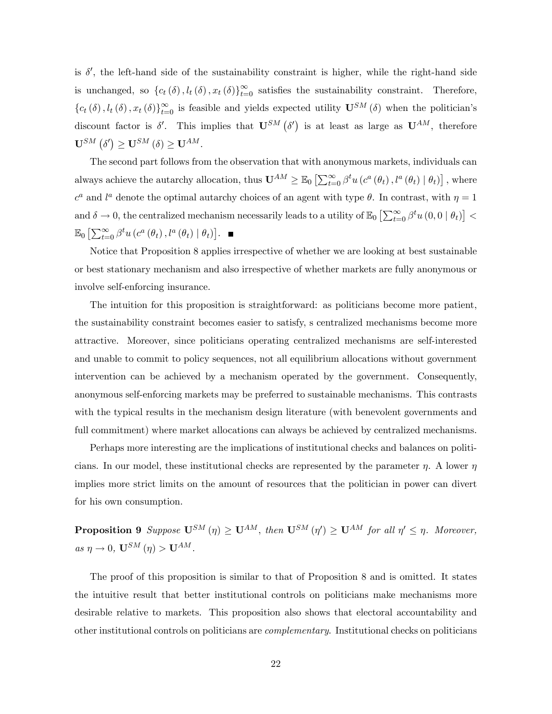is  $\delta'$ , the left-hand side of the sustainability constraint is higher, while the right-hand side is unchanged, so  $\{c_t(\delta), l_t(\delta), x_t(\delta)\}_{t=0}^{\infty}$  satisfies the sustainability constraint. Therefore,  ${c_t(\delta), l_t(\delta), x_t(\delta)}_{t=0}^{\infty}$  is feasible and yields expected utility  $\mathbf{U}^{SM}(\delta)$  when the politician's discount factor is  $\delta'$ . This implies that  $\mathbf{U}^{SM}(\delta')$  is at least as large as  $\mathbf{U}^{AM}$ , therefore  $\mathbf{U}^{SM}\left(\delta'\right)\geq\mathbf{U}^{SM}\left(\delta\right)\geq\mathbf{U}^{AM}.$ 

The second part follows from the observation that with anonymous markets, individuals can always achieve the autarchy allocation, thus  $\mathbf{U}^{AM} \geq \mathbb{E}_0 \left[ \sum_{t=0}^{\infty} \beta^t u(c^a (\theta_t), l^a (\theta_t) | \theta_t) \right]$ , where  $c^a$  and  $l^a$  denote the optimal autarchy choices of an agent with type  $\theta$ . In contrast, with  $\eta = 1$ and  $\delta \to 0$ , the centralized mechanism necessarily leads to a utility of  $\mathbb{E}_0 \left[ \sum_{t=0}^{\infty} \beta^t u(0,0 | \theta_t) \right]$  $\mathbb{E}_0 \left[ \sum_{t=0}^{\infty} \beta^t u\left(c^a\left(\theta_t\right), l^a\left(\theta_t\right) \mid \theta_t\right) \right].$ 

Notice that Proposition 8 applies irrespective of whether we are looking at best sustainable or best stationary mechanism and also irrespective of whether markets are fully anonymous or involve self-enforcing insurance.

The intuition for this proposition is straightforward: as politicians become more patient, the sustainability constraint becomes easier to satisfy, s centralized mechanisms become more attractive. Moreover, since politicians operating centralized mechanisms are self-interested and unable to commit to policy sequences, not all equilibrium allocations without government intervention can be achieved by a mechanism operated by the government. Consequently, anonymous self-enforcing markets may be preferred to sustainable mechanisms. This contrasts with the typical results in the mechanism design literature (with benevolent governments and full commitment) where market allocations can always be achieved by centralized mechanisms.

Perhaps more interesting are the implications of institutional checks and balances on politicians. In our model, these institutional checks are represented by the parameter  $\eta$ . A lower  $\eta$ implies more strict limits on the amount of resources that the politician in power can divert for his own consumption.

**Proposition 9** Suppose  $\mathbf{U}^{SM}(\eta) \ge \mathbf{U}^{AM}$ , then  $\mathbf{U}^{SM}(\eta') \ge \mathbf{U}^{AM}$  for all  $\eta' \le \eta$ . Moreover,  $as \eta \rightarrow 0, \mathbf{U}^{SM} (\eta) > \mathbf{U}^{AM}.$ 

The proof of this proposition is similar to that of Proposition 8 and is omitted. It states the intuitive result that better institutional controls on politicians make mechanisms more desirable relative to markets. This proposition also shows that electoral accountability and other institutional controls on politicians are complementary. Institutional checks on politicians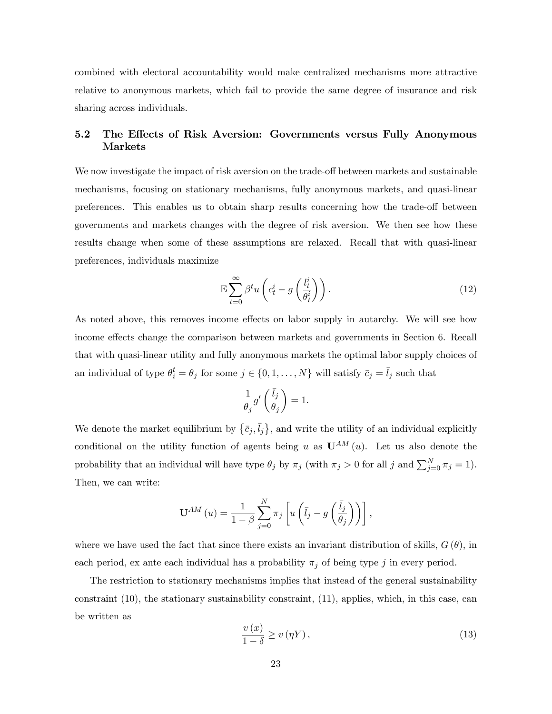combined with electoral accountability would make centralized mechanisms more attractive relative to anonymous markets, which fail to provide the same degree of insurance and risk sharing across individuals.

### 5.2 The Effects of Risk Aversion: Governments versus Fully Anonymous Markets

We now investigate the impact of risk aversion on the trade-off between markets and sustainable mechanisms, focusing on stationary mechanisms, fully anonymous markets, and quasi-linear preferences. This enables us to obtain sharp results concerning how the trade-off between governments and markets changes with the degree of risk aversion. We then see how these results change when some of these assumptions are relaxed. Recall that with quasi-linear preferences, individuals maximize

$$
\mathbb{E}\sum_{t=0}^{\infty} \beta^t u\left(c_t^i - g\left(\frac{l_t^i}{\theta_t^i}\right)\right). \tag{12}
$$

As noted above, this removes income effects on labor supply in autarchy. We will see how income effects change the comparison between markets and governments in Section 6. Recall that with quasi-linear utility and fully anonymous markets the optimal labor supply choices of an individual of type  $\theta_i^t = \theta_j$  for some  $j \in \{0, 1, ..., N\}$  will satisfy  $\bar{c}_j = \bar{l}_j$  such that

$$
\frac{1}{\theta_j}g'\left(\frac{\bar{l}_j}{\theta_j}\right) = 1.
$$

We denote the market equilibrium by  $\{\bar{c}_j, \bar{l}_j\}$ , and write the utility of an individual explicitly conditional on the utility function of agents being u as  $\mathbf{U}^{AM}(u)$ . Let us also denote the probability that an individual will have type  $\theta_j$  by  $\pi_j$  (with  $\pi_j > 0$  for all j and  $\sum_{j=0}^N \pi_j = 1$ ). Then, we can write:

$$
\mathbf{U}^{AM}(u) = \frac{1}{1-\beta} \sum_{j=0}^{N} \pi_j \left[ u \left( \bar{l}_j - g \left( \frac{\bar{l}_j}{\theta_j} \right) \right) \right],
$$

where we have used the fact that since there exists an invariant distribution of skills,  $G(\theta)$ , in each period, ex ante each individual has a probability  $\pi_j$  of being type j in every period.

The restriction to stationary mechanisms implies that instead of the general sustainability constraint (10), the stationary sustainability constraint, (11), applies, which, in this case, can be written as

$$
\frac{v(x)}{1-\delta} \ge v(\eta Y),\tag{13}
$$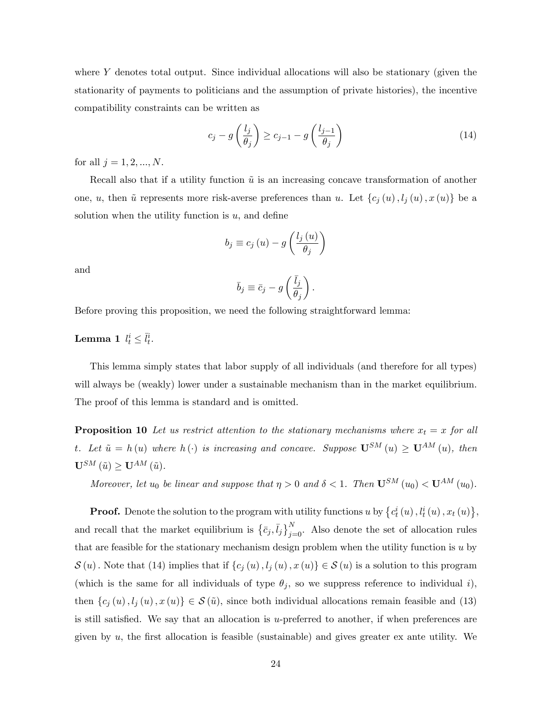where  $Y$  denotes total output. Since individual allocations will also be stationary (given the stationarity of payments to politicians and the assumption of private histories), the incentive compatibility constraints can be written as

$$
c_j - g\left(\frac{l_j}{\theta_j}\right) \ge c_{j-1} - g\left(\frac{l_{j-1}}{\theta_j}\right) \tag{14}
$$

for all  $j = 1, 2, ..., N$ .

Recall also that if a utility function  $\tilde{u}$  is an increasing concave transformation of another one, u, then  $\tilde{u}$  represents more risk-averse preferences than u. Let  $\{c_j (u), l_j (u), x (u)\}\)$  be a solution when the utility function is  $u$ , and define

$$
b_j \equiv c_j(u) - g\left(\frac{l_j(u)}{\theta_j}\right)
$$

and

$$
\bar{b}_j \equiv \bar{c}_j - g\left(\frac{\bar{l}_j}{\theta_j}\right).
$$

Before proving this proposition, we need the following straightforward lemma:

# Lemma 1  $l_t^i \leq \bar{l}_t^i$ .

This lemma simply states that labor supply of all individuals (and therefore for all types) will always be (weakly) lower under a sustainable mechanism than in the market equilibrium. The proof of this lemma is standard and is omitted.

**Proposition 10** Let us restrict attention to the stationary mechanisms where  $x_t = x$  for all t. Let  $\tilde{u} = h (u)$  where  $h (\cdot)$  is increasing and concave. Suppose  $\mathbf{U}^{SM} (u) \geq \mathbf{U}^{AM} (u)$ , then  $\mathbf{U}^{SM}\left(\tilde{u}\right) \geq \mathbf{U}^{AM}\left(\tilde{u}\right).$ 

Moreover, let  $u_0$  be linear and suppose that  $\eta > 0$  and  $\delta < 1$ . Then  $\mathbf{U}^{SM}(u_0) < \mathbf{U}^{AM}(u_0)$ .

**Proof.** Denote the solution to the program with utility functions u by  $\{c_t^i(u), l_t^i(u), x_t(u)\},$ and recall that the market equilibrium is  $\{\bar{c}_j, \bar{l}_j\}_{j=0}^N$ . Also denote the set of allocation rules that are feasible for the stationary mechanism design problem when the utility function is  $u$  by  $S(u)$ . Note that (14) implies that if  $\{c_j(u), l_j(u), x(u)\}\in S(u)$  is a solution to this program (which is the same for all individuals of type  $\theta_j$ , so we suppress reference to individual i), then  $\{c_j (u), l_j (u), x (u)\}\in \mathcal{S}(\tilde{u})$ , since both individual allocations remain feasible and (13) is still satisfied. We say that an allocation is  $u$ -preferred to another, if when preferences are given by  $u$ , the first allocation is feasible (sustainable) and gives greater ex ante utility. We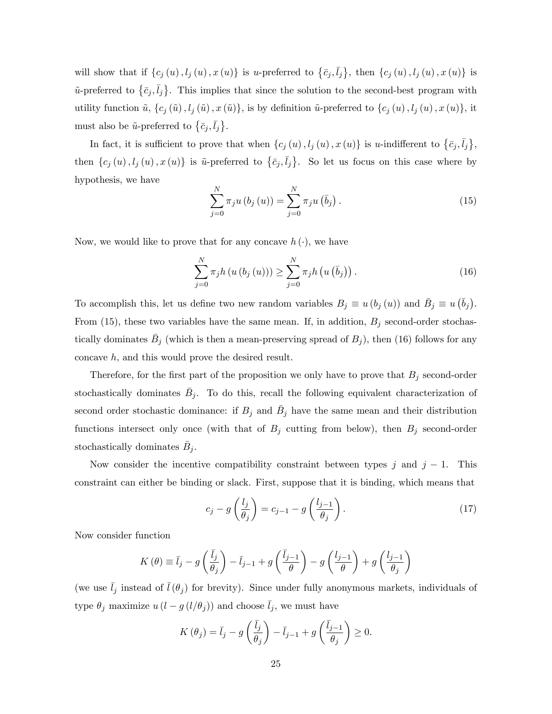will show that if  $\{c_j(u), l_j(u), x(u)\}$  is u-preferred to  $\{\bar{c}_j, \bar{l}_j\}$ , then  $\{c_j(u), l_j(u), x(u)\}$  is  $\tilde{u}$ -preferred to  $\{\bar{c}_j, \bar{l}_j\}$ . This implies that since the solution to the second-best program with utility function  $\tilde{u}$ ,  $\{c_j(\tilde{u}), l_j(\tilde{u}), x(\tilde{u})\}$ , is by definition  $\tilde{u}$ -preferred to  $\{c_j(u), l_j(u), x(u)\}$ , it must also be  $\tilde{u}$ -preferred to  $\{\bar{c}_j, \bar{l}_j\}.$ 

In fact, it is sufficient to prove that when  $\{c_j(u), l_j(u), x(u)\}$  is u-indifferent to  $\{\bar{c}_j, \bar{l}_j\},\$ then  $\{c_j(u), l_j(u), x(u)\}\$ is  $\tilde{u}$ -preferred to  $\{\bar{c}_j, \bar{l}_j\}$ . So let us focus on this case where by hypothesis, we have

$$
\sum_{j=0}^{N} \pi_j u(b_j(u)) = \sum_{j=0}^{N} \pi_j u(\bar{b}_j).
$$
 (15)

Now, we would like to prove that for any concave  $h(\cdot)$ , we have

$$
\sum_{j=0}^{N} \pi_j h(u(b_j(u))) \geq \sum_{j=0}^{N} \pi_j h(u(\bar{b}_j)).
$$
\n(16)

To accomplish this, let us define two new random variables  $B_j \equiv u(b_j(u))$  and  $\bar{B}_j \equiv u(\bar{b}_j)$ . From (15), these two variables have the same mean. If, in addition,  $B_j$  second-order stochastically dominates  $\bar{B}_j$  (which is then a mean-preserving spread of  $B_j$ ), then (16) follows for any concave h, and this would prove the desired result.

Therefore, for the first part of the proposition we only have to prove that  $B_j$  second-order stochastically dominates  $\bar{B}_j$ . To do this, recall the following equivalent characterization of second order stochastic dominance: if  $B_j$  and  $\bar{B}_j$  have the same mean and their distribution functions intersect only once (with that of  $B_j$  cutting from below), then  $B_j$  second-order stochastically dominates  $\bar{B}_j$ .

Now consider the incentive compatibility constraint between types j and  $j - 1$ . This constraint can either be binding or slack. First, suppose that it is binding, which means that

$$
c_j - g\left(\frac{l_j}{\theta_j}\right) = c_{j-1} - g\left(\frac{l_{j-1}}{\theta_j}\right). \tag{17}
$$

Now consider function

$$
K(\theta) \equiv \bar{l}_j - g\left(\frac{\bar{l}_j}{\theta_j}\right) - \bar{l}_{j-1} + g\left(\frac{\bar{l}_{j-1}}{\theta}\right) - g\left(\frac{l_{j-1}}{\theta}\right) + g\left(\frac{l_{j-1}}{\theta_j}\right)
$$

(we use  $\bar{l}_j$  instead of  $\bar{l}(\theta_j)$  for brevity). Since under fully anonymous markets, individuals of type  $\theta_j$  maximize  $u(l-g(l/\theta_j))$  and choose  $\bar{l}_j$ , we must have

$$
K(\theta_j) = \bar{l}_j - g\left(\frac{\bar{l}_j}{\theta_j}\right) - \bar{l}_{j-1} + g\left(\frac{\bar{l}_{j-1}}{\theta_j}\right) \ge 0.
$$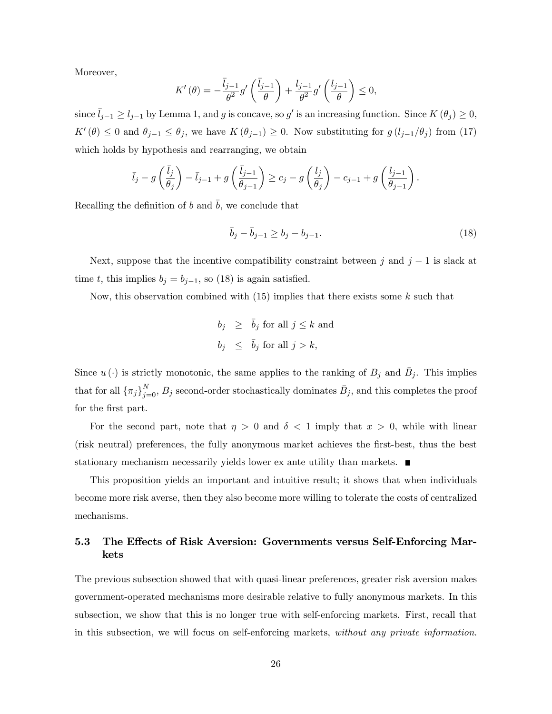Moreover,

$$
K'(\theta) = -\frac{\bar{l}_{j-1}}{\theta^2}g'\left(\frac{\bar{l}_{j-1}}{\theta}\right) + \frac{l_{j-1}}{\theta^2}g'\left(\frac{l_{j-1}}{\theta}\right) \le 0,
$$

since  $\bar{l}_{j-1} \ge l_{j-1}$  by Lemma 1, and g is concave, so g' is an increasing function. Since  $K(\theta_j) \ge 0$ ,  $K'(\theta) \leq 0$  and  $\theta_{j-1} \leq \theta_j$ , we have  $K(\theta_{j-1}) \geq 0$ . Now substituting for  $g(l_{j-1}/\theta_j)$  from (17) which holds by hypothesis and rearranging, we obtain

$$
\bar{l}_j - g\left(\frac{\bar{l}_j}{\theta_j}\right) - \bar{l}_{j-1} + g\left(\frac{\bar{l}_{j-1}}{\theta_{j-1}}\right) \ge c_j - g\left(\frac{l_j}{\theta_j}\right) - c_{j-1} + g\left(\frac{l_{j-1}}{\theta_{j-1}}\right).
$$

Recalling the definition of b and  $\bar{b}$ , we conclude that

$$
\bar{b}_j - \bar{b}_{j-1} \ge b_j - b_{j-1}.
$$
\n(18)

Next, suppose that the incentive compatibility constraint between j and  $j-1$  is slack at time t, this implies  $b_j = b_{j-1}$ , so (18) is again satisfied.

Now, this observation combined with  $(15)$  implies that there exists some k such that

$$
b_j \geq \bar{b}_j \text{ for all } j \leq k \text{ and}
$$
  

$$
b_j \leq \bar{b}_j \text{ for all } j > k,
$$

Since  $u(\cdot)$  is strictly monotonic, the same applies to the ranking of  $B_j$  and  $\bar{B}_j$ . This implies that for all  ${\{\pi_j\}}_{j=0}^N$ ,  $B_j$  second-order stochastically dominates  $\bar{B}_j$ , and this completes the proof for the first part.

For the second part, note that  $\eta > 0$  and  $\delta < 1$  imply that  $x > 0$ , while with linear (risk neutral) preferences, the fully anonymous market achieves the Örst-best, thus the best stationary mechanism necessarily yields lower ex ante utility than markets.  $\blacksquare$ 

This proposition yields an important and intuitive result; it shows that when individuals become more risk averse, then they also become more willing to tolerate the costs of centralized mechanisms.

### 5.3 The Effects of Risk Aversion: Governments versus Self-Enforcing Markets

The previous subsection showed that with quasi-linear preferences, greater risk aversion makes government-operated mechanisms more desirable relative to fully anonymous markets. In this subsection, we show that this is no longer true with self-enforcing markets. First, recall that in this subsection, we will focus on self-enforcing markets, without any private information.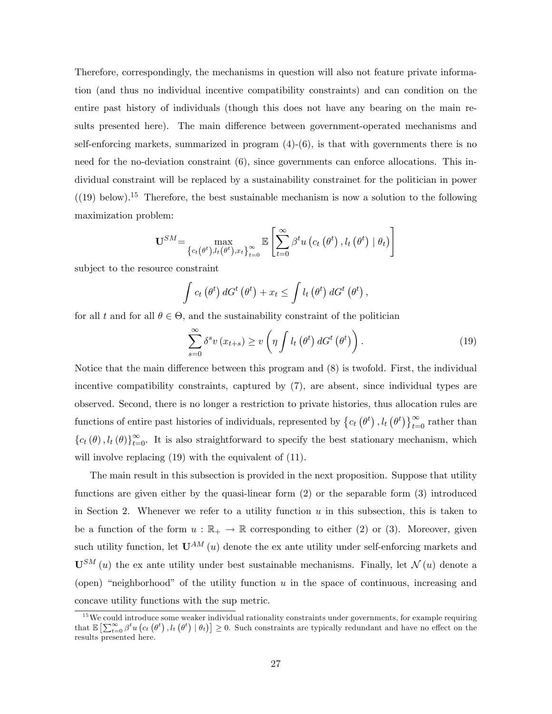Therefore, correspondingly, the mechanisms in question will also not feature private information (and thus no individual incentive compatibility constraints) and can condition on the entire past history of individuals (though this does not have any bearing on the main results presented here). The main difference between government-operated mechanisms and self-enforcing markets, summarized in program  $(4)-(6)$ , is that with governments there is no need for the no-deviation constraint (6), since governments can enforce allocations. This individual constraint will be replaced by a sustainability constrainet for the politician in power  $(19)$  below).<sup>15</sup> Therefore, the best sustainable mechanism is now a solution to the following maximization problem:

$$
\mathbf{U}^{SM} = \max_{\{c_t(\theta^t), l_t(\theta^t), x_t\}_{t=0}^{\infty}} \mathbb{E}\left[\sum_{t=0}^{\infty} \beta^t u\left(c_t\left(\theta^t\right), l_t\left(\theta^t\right) \mid \theta_t\right)\right]
$$

subject to the resource constraint

$$
\int c_t (\theta^t) dG^t (\theta^t) + x_t \leq \int l_t (\theta^t) dG^t (\theta^t),
$$

for all  $t$  and for all  $\theta \in \Theta$ , and the sustainability constraint of the politician

$$
\sum_{s=0}^{\infty} \delta^s v(x_{t+s}) \ge v \left( \eta \int l_t \left( \theta^t \right) dG^t \left( \theta^t \right) \right). \tag{19}
$$

Notice that the main difference between this program and  $(8)$  is twofold. First, the individual incentive compatibility constraints, captured by (7), are absent, since individual types are observed. Second, there is no longer a restriction to private histories, thus allocation rules are functions of entire past histories of individuals, represented by  $\{c_t(\theta^t), l_t(\theta^t)\}_{t=0}^{\infty}$  rather than  ${c_t(\theta), l_t(\theta)}_{t=0}^{\infty}$ . It is also straightforward to specify the best stationary mechanism, which will involve replacing (19) with the equivalent of (11).

The main result in this subsection is provided in the next proposition. Suppose that utility functions are given either by the quasi-linear form (2) or the separable form (3) introduced in Section 2. Whenever we refer to a utility function  $u$  in this subsection, this is taken to be a function of the form  $u : \mathbb{R}_+ \to \mathbb{R}$  corresponding to either (2) or (3). Moreover, given such utility function, let  $\mathbf{U}^{AM}(u)$  denote the ex ante utility under self-enforcing markets and  $\mathbf{U}^{SM}(u)$  the ex ante utility under best sustainable mechanisms. Finally, let  $\mathcal{N}(u)$  denote a (open) "neighborhood" of the utility function u in the space of continuous, increasing and concave utility functions with the sup metric.

 $15$  We could introduce some weaker individual rationality constraints under governments, for example requiring that  $\mathbb{E}\left[\sum_{t=0}^{\infty} \beta^t u\left(c_t\left(\theta^t\right), l_t\left(\theta^t\right) \mid \theta_t\right)\right] \geq 0$ . Such constraints are typically redundant and have no effect on the results presented here.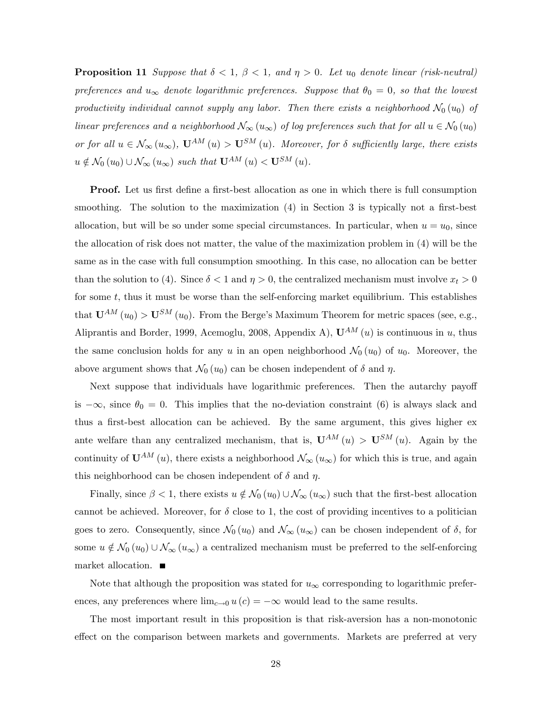**Proposition 11** Suppose that  $\delta < 1$ ,  $\beta < 1$ , and  $\eta > 0$ . Let  $u_0$  denote linear (risk-neutral) preferences and  $u_{\infty}$  denote logarithmic preferences. Suppose that  $\theta_0 = 0$ , so that the lowest productivity individual cannot supply any labor. Then there exists a neighborhood  $\mathcal{N}_0(u_0)$  of linear preferences and a neighborhood  $\mathcal{N}_{\infty}(u_{\infty})$  of log preferences such that for all  $u \in \mathcal{N}_0 (u_0)$ or for all  $u \in \mathcal{N}_{\infty}(u_{\infty}), \mathbf{U}^{AM}(u) > \mathbf{U}^{SM}(u)$ . Moreover, for  $\delta$  sufficiently large, there exists  $u \notin \mathcal{N}_0 (u_0) \cup \mathcal{N}_{\infty} (u_{\infty})$  such that  $\mathbf{U}^{AM} (u) < \mathbf{U}^{SM} (u)$ .

**Proof.** Let us first define a first-best allocation as one in which there is full consumption smoothing. The solution to the maximization  $(4)$  in Section 3 is typically not a first-best allocation, but will be so under some special circumstances. In particular, when  $u = u_0$ , since the allocation of risk does not matter, the value of the maximization problem in (4) will be the same as in the case with full consumption smoothing. In this case, no allocation can be better than the solution to (4). Since  $\delta < 1$  and  $\eta > 0$ , the centralized mechanism must involve  $x_t > 0$ for some  $t$ , thus it must be worse than the self-enforcing market equilibrium. This establishes that  $\mathbf{U}^{AM}(u_0) > \mathbf{U}^{SM}(u_0)$ . From the Berge's Maximum Theorem for metric spaces (see, e.g., Aliprantis and Border, 1999, Acemoglu, 2008, Appendix A),  $\mathbf{U}^{AM}(u)$  is continuous in u, thus the same conclusion holds for any u in an open neighborhood  $\mathcal{N}_0(u_0)$  of  $u_0$ . Moreover, the above argument shows that  $\mathcal{N}_0(u_0)$  can be chosen independent of  $\delta$  and  $\eta$ .

Next suppose that individuals have logarithmic preferences. Then the autarchy payoff is  $-\infty$ , since  $\theta_0 = 0$ . This implies that the no-deviation constraint (6) is always slack and thus a first-best allocation can be achieved. By the same argument, this gives higher ex ante welfare than any centralized mechanism, that is,  $\mathbf{U}^{AM}(u) > \mathbf{U}^{SM}(u)$ . Again by the continuity of  $\mathbf{U}^{AM}(u)$ , there exists a neighborhood  $\mathcal{N}_{\infty}(u_{\infty})$  for which this is true, and again this neighborhood can be chosen independent of  $\delta$  and  $\eta$ .

Finally, since  $\beta < 1$ , there exists  $u \notin \mathcal{N}_0(u_0) \cup \mathcal{N}_\infty(u_\infty)$  such that the first-best allocation cannot be achieved. Moreover, for  $\delta$  close to 1, the cost of providing incentives to a politician goes to zero. Consequently, since  $\mathcal{N}_0(u_0)$  and  $\mathcal{N}_{\infty}(u_{\infty})$  can be chosen independent of  $\delta$ , for some  $u \notin \mathcal{N}_0(u_0) \cup \mathcal{N}_{\infty}(u_{\infty})$  a centralized mechanism must be preferred to the self-enforcing market allocation.

Note that although the proposition was stated for  $u_{\infty}$  corresponding to logarithmic preferences, any preferences where  $\lim_{c\to 0} u(c) = -\infty$  would lead to the same results.

The most important result in this proposition is that risk-aversion has a non-monotonic effect on the comparison between markets and governments. Markets are preferred at very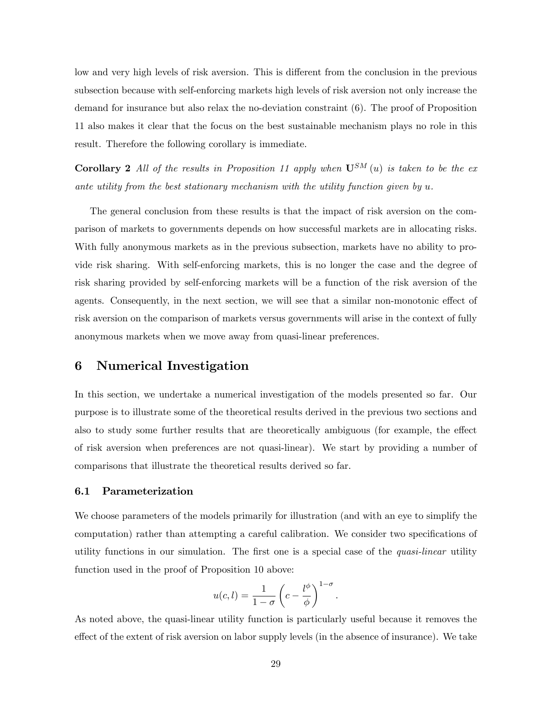low and very high levels of risk aversion. This is different from the conclusion in the previous subsection because with self-enforcing markets high levels of risk aversion not only increase the demand for insurance but also relax the no-deviation constraint (6). The proof of Proposition 11 also makes it clear that the focus on the best sustainable mechanism plays no role in this result. Therefore the following corollary is immediate.

**Corollary 2** All of the results in Proposition 11 apply when  $\mathbf{U}^{SM}(u)$  is taken to be the exante utility from the best stationary mechanism with the utility function given by u.

The general conclusion from these results is that the impact of risk aversion on the comparison of markets to governments depends on how successful markets are in allocating risks. With fully anonymous markets as in the previous subsection, markets have no ability to provide risk sharing. With self-enforcing markets, this is no longer the case and the degree of risk sharing provided by self-enforcing markets will be a function of the risk aversion of the agents. Consequently, in the next section, we will see that a similar non-monotonic effect of risk aversion on the comparison of markets versus governments will arise in the context of fully anonymous markets when we move away from quasi-linear preferences.

# 6 Numerical Investigation

In this section, we undertake a numerical investigation of the models presented so far. Our purpose is to illustrate some of the theoretical results derived in the previous two sections and also to study some further results that are theoretically ambiguous (for example, the effect of risk aversion when preferences are not quasi-linear). We start by providing a number of comparisons that illustrate the theoretical results derived so far.

### 6.1 Parameterization

We choose parameters of the models primarily for illustration (and with an eye to simplify the computation) rather than attempting a careful calibration. We consider two specifications of utility functions in our simulation. The first one is a special case of the *quasi-linear* utility function used in the proof of Proposition 10 above:

$$
u(c,l) = \frac{1}{1-\sigma} \left( c - \frac{l^{\phi}}{\phi} \right)^{1-\sigma}.
$$

As noted above, the quasi-linear utility function is particularly useful because it removes the effect of the extent of risk aversion on labor supply levels (in the absence of insurance). We take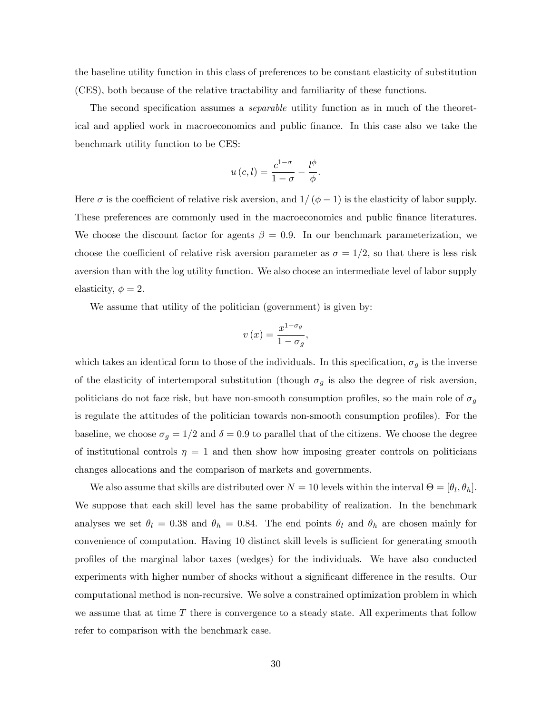the baseline utility function in this class of preferences to be constant elasticity of substitution (CES), both because of the relative tractability and familiarity of these functions.

The second specification assumes a *separable* utility function as in much of the theoretical and applied work in macroeconomics and public Önance. In this case also we take the benchmark utility function to be CES:

$$
u\left(c,l\right) = \frac{c^{1-\sigma}}{1-\sigma} - \frac{l^{\phi}}{\phi}.
$$

Here  $\sigma$  is the coefficient of relative risk aversion, and  $1/(\phi - 1)$  is the elasticity of labor supply. These preferences are commonly used in the macroeconomics and public finance literatures. We choose the discount factor for agents  $\beta = 0.9$ . In our benchmark parameterization, we choose the coefficient of relative risk aversion parameter as  $\sigma = 1/2$ , so that there is less risk aversion than with the log utility function. We also choose an intermediate level of labor supply elasticity,  $\phi = 2$ .

We assume that utility of the politician (government) is given by:

$$
v(x) = \frac{x^{1-\sigma_g}}{1-\sigma_g},
$$

which takes an identical form to those of the individuals. In this specification,  $\sigma_g$  is the inverse of the elasticity of intertemporal substitution (though  $\sigma_g$  is also the degree of risk aversion, politicians do not face risk, but have non-smooth consumption profiles, so the main role of  $\sigma_g$ is regulate the attitudes of the politician towards non-smooth consumption profiles). For the baseline, we choose  $\sigma_g = 1/2$  and  $\delta = 0.9$  to parallel that of the citizens. We choose the degree of institutional controls  $\eta = 1$  and then show how imposing greater controls on politicians changes allocations and the comparison of markets and governments.

We also assume that skills are distributed over  $N = 10$  levels within the interval  $\Theta = [\theta_l, \theta_h].$ We suppose that each skill level has the same probability of realization. In the benchmark analyses we set  $\theta_l = 0.38$  and  $\theta_h = 0.84$ . The end points  $\theta_l$  and  $\theta_h$  are chosen mainly for convenience of computation. Having 10 distinct skill levels is sufficient for generating smooth proÖles of the marginal labor taxes (wedges) for the individuals. We have also conducted experiments with higher number of shocks without a significant difference in the results. Our computational method is non-recursive. We solve a constrained optimization problem in which we assume that at time  $T$  there is convergence to a steady state. All experiments that follow refer to comparison with the benchmark case.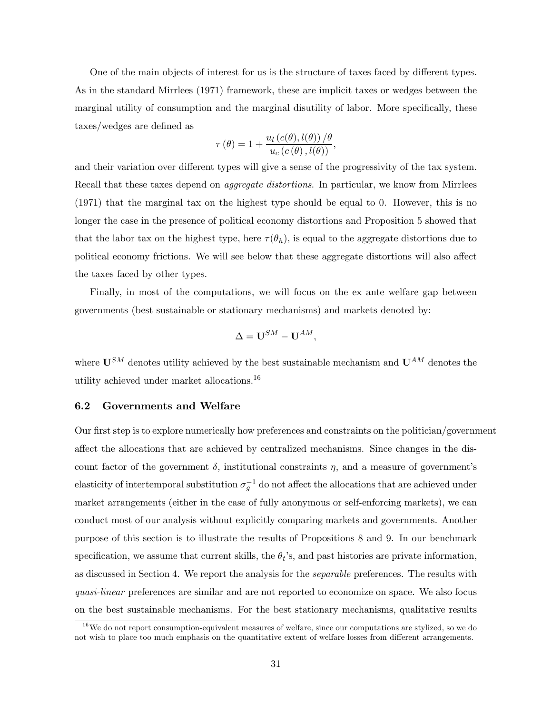One of the main objects of interest for us is the structure of taxes faced by different types. As in the standard Mirrlees (1971) framework, these are implicit taxes or wedges between the marginal utility of consumption and the marginal disutility of labor. More specifically, these taxes/wedges are defined as

$$
\tau(\theta) = 1 + \frac{u_l(c(\theta), l(\theta))/\theta}{u_c(c(\theta), l(\theta))},
$$

and their variation over different types will give a sense of the progressivity of the tax system. Recall that these taxes depend on *aggregate distortions*. In particular, we know from Mirrlees (1971) that the marginal tax on the highest type should be equal to 0. However, this is no longer the case in the presence of political economy distortions and Proposition 5 showed that that the labor tax on the highest type, here  $\tau(\theta_h)$ , is equal to the aggregate distortions due to political economy frictions. We will see below that these aggregate distortions will also affect the taxes faced by other types.

Finally, in most of the computations, we will focus on the ex ante welfare gap between governments (best sustainable or stationary mechanisms) and markets denoted by:

$$
\Delta = \mathbf{U}^{SM} - \mathbf{U}^{AM},
$$

where  $\mathbf{U}^{SM}$  denotes utility achieved by the best sustainable mechanism and  $\mathbf{U}^{AM}$  denotes the utility achieved under market allocations.<sup>16</sup>

### 6.2 Governments and Welfare

Our first step is to explore numerically how preferences and constraints on the politician/government affect the allocations that are achieved by centralized mechanisms. Since changes in the discount factor of the government  $\delta$ , institutional constraints  $\eta$ , and a measure of government's elasticity of intertemporal substitution  $\sigma_g^{-1}$  do not affect the allocations that are achieved under market arrangements (either in the case of fully anonymous or self-enforcing markets), we can conduct most of our analysis without explicitly comparing markets and governments. Another purpose of this section is to illustrate the results of Propositions 8 and 9. In our benchmark specification, we assume that current skills, the  $\theta_t$ 's, and past histories are private information, as discussed in Section 4. We report the analysis for the separable preferences. The results with quasi-linear preferences are similar and are not reported to economize on space. We also focus on the best sustainable mechanisms. For the best stationary mechanisms, qualitative results

 $16$  We do not report consumption-equivalent measures of welfare, since our computations are stylized, so we do not wish to place too much emphasis on the quantitative extent of welfare losses from different arrangements.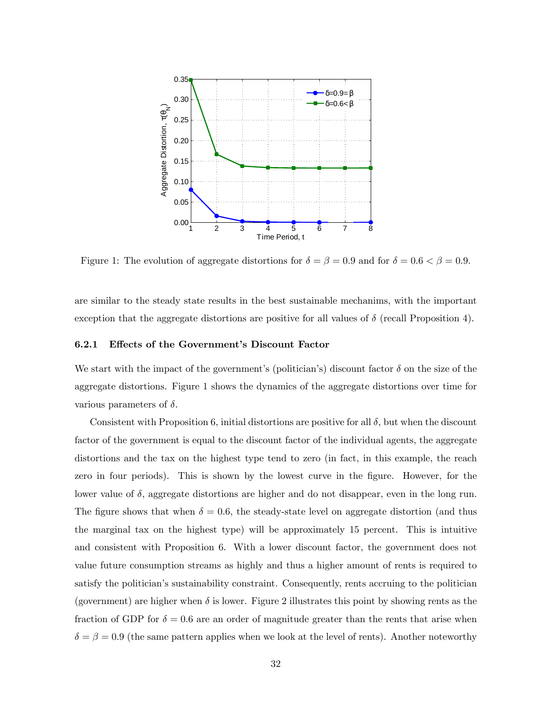

Figure 1: The evolution of aggregate distortions for  $\delta = \beta = 0.9$  and for  $\delta = 0.6 < \beta = 0.9$ .

are similar to the steady state results in the best sustainable mechanims, with the important exception that the aggregate distortions are positive for all values of  $\delta$  (recall Proposition 4).

#### 6.2.1 Effects of the Government's Discount Factor

We start with the impact of the government's (politician's) discount factor  $\delta$  on the size of the aggregate distortions. Figure 1 shows the dynamics of the aggregate distortions over time for various parameters of  $\delta$ .

Consistent with Proposition 6, initial distortions are positive for all  $\delta$ , but when the discount factor of the government is equal to the discount factor of the individual agents, the aggregate distortions and the tax on the highest type tend to zero (in fact, in this example, the reach zero in four periods). This is shown by the lowest curve in the figure. However, for the lower value of  $\delta$ , aggregate distortions are higher and do not disappear, even in the long run. The figure shows that when  $\delta = 0.6$ , the steady-state level on aggregate distortion (and thus the marginal tax on the highest type) will be approximately 15 percent. This is intuitive and consistent with Proposition 6. With a lower discount factor, the government does not value future consumption streams as highly and thus a higher amount of rents is required to satisfy the politician's sustainability constraint. Consequently, rents accruing to the politician (government) are higher when  $\delta$  is lower. Figure 2 illustrates this point by showing rents as the fraction of GDP for  $\delta = 0.6$  are an order of magnitude greater than the rents that arise when  $\delta = \beta = 0.9$  (the same pattern applies when we look at the level of rents). Another noteworthy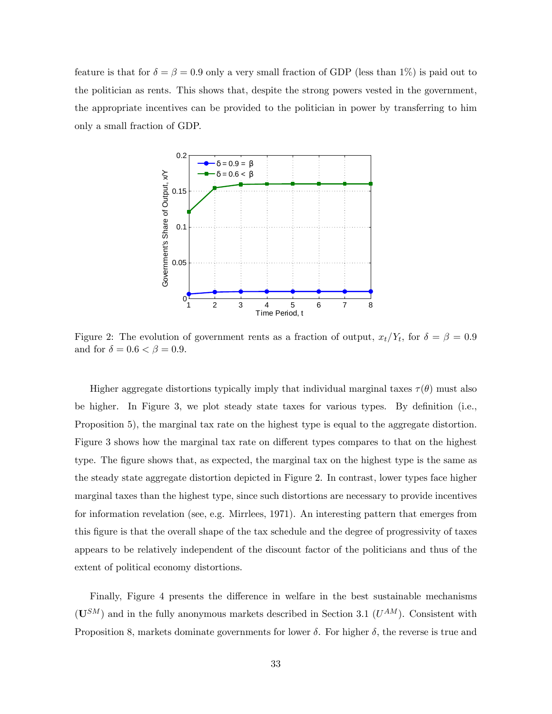feature is that for  $\delta = \beta = 0.9$  only a very small fraction of GDP (less than 1%) is paid out to the politician as rents. This shows that, despite the strong powers vested in the government, the appropriate incentives can be provided to the politician in power by transferring to him only a small fraction of GDP.



Figure 2: The evolution of government rents as a fraction of output,  $x_t/Y_t$ , for  $\delta = \beta = 0.9$ and for  $\delta = 0.6 < \beta = 0.9$ .

Higher aggregate distortions typically imply that individual marginal taxes  $\tau(\theta)$  must also be higher. In Figure 3, we plot steady state taxes for various types. By definition (i.e., Proposition 5), the marginal tax rate on the highest type is equal to the aggregate distortion. Figure 3 shows how the marginal tax rate on different types compares to that on the highest type. The figure shows that, as expected, the marginal tax on the highest type is the same as the steady state aggregate distortion depicted in Figure 2. In contrast, lower types face higher marginal taxes than the highest type, since such distortions are necessary to provide incentives for information revelation (see, e.g. Mirrlees, 1971). An interesting pattern that emerges from this Ögure is that the overall shape of the tax schedule and the degree of progressivity of taxes appears to be relatively independent of the discount factor of the politicians and thus of the extent of political economy distortions.

Finally, Figure 4 presents the difference in welfare in the best sustainable mechanisms  $(\mathbf{U}^{SM})$  and in the fully anonymous markets described in Section 3.1  $(U^{AM})$ . Consistent with Proposition 8, markets dominate governments for lower  $\delta$ . For higher  $\delta$ , the reverse is true and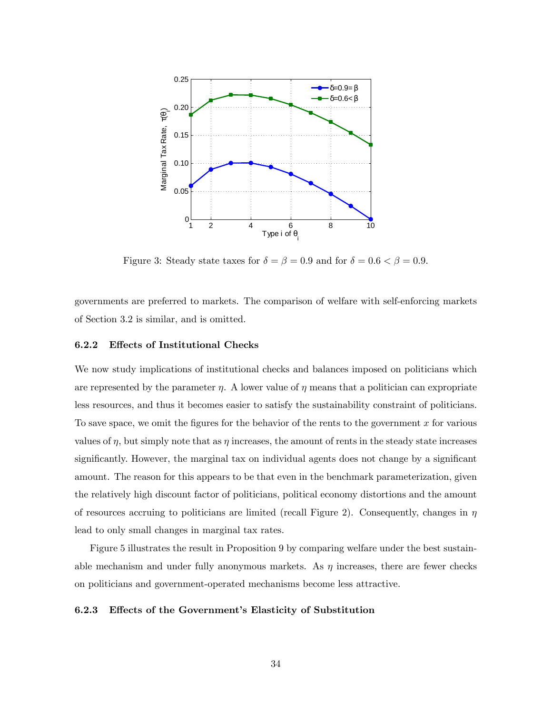

Figure 3: Steady state taxes for  $\delta = \beta = 0.9$  and for  $\delta = 0.6 < \beta = 0.9$ .

governments are preferred to markets. The comparison of welfare with self-enforcing markets of Section 3.2 is similar, and is omitted.

#### 6.2.2 Effects of Institutional Checks

We now study implications of institutional checks and balances imposed on politicians which are represented by the parameter  $\eta$ . A lower value of  $\eta$  means that a politician can expropriate less resources, and thus it becomes easier to satisfy the sustainability constraint of politicians. To save space, we omit the figures for the behavior of the rents to the government  $x$  for various values of  $\eta$ , but simply note that as  $\eta$  increases, the amount of rents in the steady state increases significantly. However, the marginal tax on individual agents does not change by a significant amount. The reason for this appears to be that even in the benchmark parameterization, given the relatively high discount factor of politicians, political economy distortions and the amount of resources accruing to politicians are limited (recall Figure 2). Consequently, changes in  $\eta$ lead to only small changes in marginal tax rates.

Figure 5 illustrates the result in Proposition 9 by comparing welfare under the best sustainable mechanism and under fully anonymous markets. As  $\eta$  increases, there are fewer checks on politicians and government-operated mechanisms become less attractive.

#### 6.2.3 Effects of the Government's Elasticity of Substitution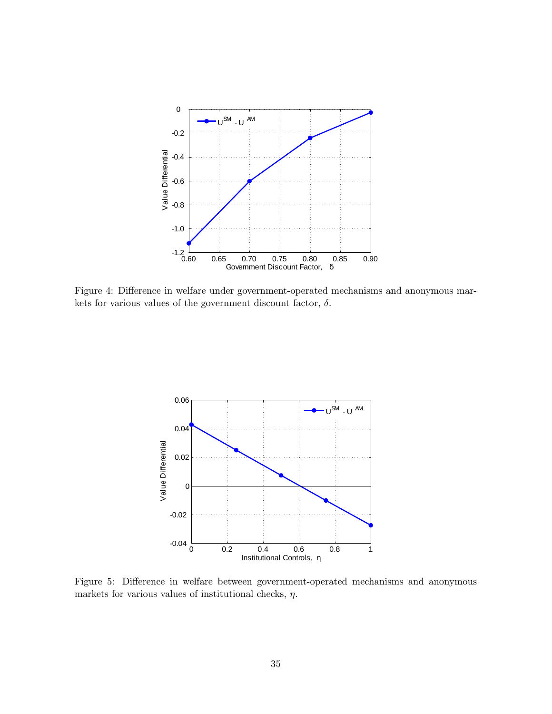

Figure 4: Difference in welfare under government-operated mechanisms and anonymous markets for various values of the government discount factor,  $\delta$ .



Figure 5: Difference in welfare between government-operated mechanisms and anonymous markets for various values of institutional checks,  $\eta$ .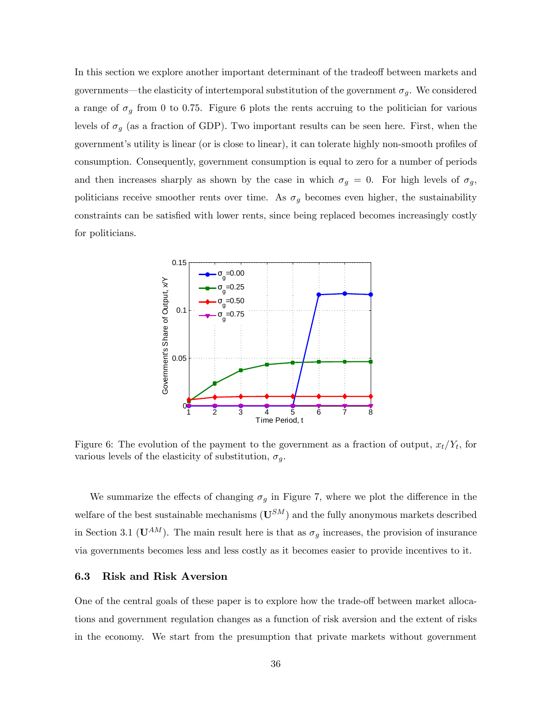In this section we explore another important determinant of the tradeoff between markets and governments—the elasticity of intertemporal substitution of the government  $\sigma_q$ . We considered a range of  $\sigma_g$  from 0 to 0.75. Figure 6 plots the rents accruing to the politician for various levels of  $\sigma_g$  (as a fraction of GDP). Two important results can be seen here. First, when the government's utility is linear (or is close to linear), it can tolerate highly non-smooth profiles of consumption. Consequently, government consumption is equal to zero for a number of periods and then increases sharply as shown by the case in which  $\sigma_g = 0$ . For high levels of  $\sigma_g$ , politicians receive smoother rents over time. As  $\sigma_g$  becomes even higher, the sustainability constraints can be satisfied with lower rents, since being replaced becomes increasingly costly for politicians.



Figure 6: The evolution of the payment to the government as a fraction of output,  $x_t/Y_t$ , for various levels of the elasticity of substitution,  $\sigma_g$ .

We summarize the effects of changing  $\sigma_g$  in Figure 7, where we plot the difference in the welfare of the best sustainable mechanisms  $(\mathbf{U}^{SM})$  and the fully anonymous markets described in Section 3.1 ( $\mathbf{U}^{AM}$ ). The main result here is that as  $\sigma_g$  increases, the provision of insurance via governments becomes less and less costly as it becomes easier to provide incentives to it.

### 6.3 Risk and Risk Aversion

One of the central goals of these paper is to explore how the trade-off between market allocations and government regulation changes as a function of risk aversion and the extent of risks in the economy. We start from the presumption that private markets without government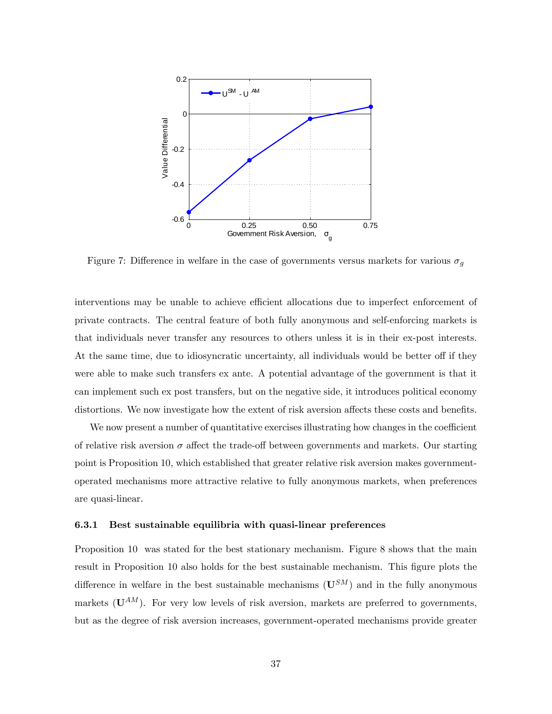

Figure 7: Difference in welfare in the case of governments versus markets for various  $\sigma_g$ 

interventions may be unable to achieve efficient allocations due to imperfect enforcement of private contracts. The central feature of both fully anonymous and self-enforcing markets is that individuals never transfer any resources to others unless it is in their ex-post interests. At the same time, due to idiosyncratic uncertainty, all individuals would be better off if they were able to make such transfers ex ante. A potential advantage of the government is that it can implement such ex post transfers, but on the negative side, it introduces political economy distortions. We now investigate how the extent of risk aversion affects these costs and benefits.

We now present a number of quantitative exercises illustrating how changes in the coefficient of relative risk aversion  $\sigma$  affect the trade-off between governments and markets. Our starting point is Proposition 10, which established that greater relative risk aversion makes governmentoperated mechanisms more attractive relative to fully anonymous markets, when preferences are quasi-linear.

#### 6.3.1 Best sustainable equilibria with quasi-linear preferences

Proposition 10 was stated for the best stationary mechanism. Figure 8 shows that the main result in Proposition 10 also holds for the best sustainable mechanism. This figure plots the difference in welfare in the best sustainable mechanisms  $(\mathbf{U}^{SM})$  and in the fully anonymous markets  $(\mathbf{U}^{AM})$ . For very low levels of risk aversion, markets are preferred to governments, but as the degree of risk aversion increases, government-operated mechanisms provide greater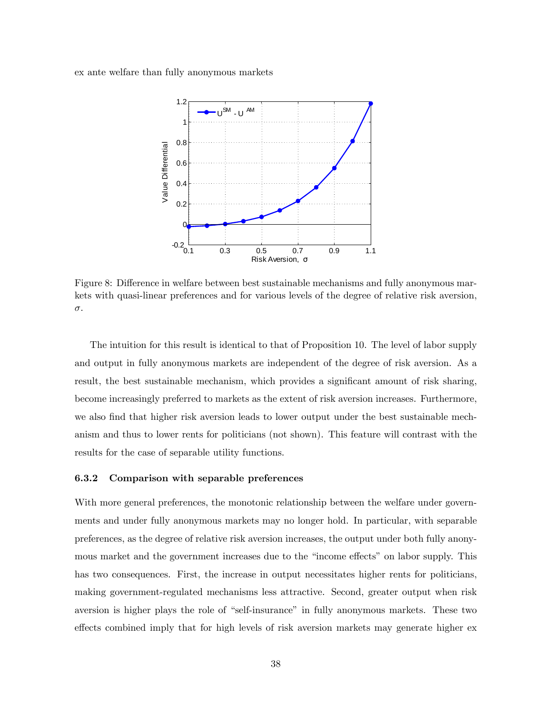ex ante welfare than fully anonymous markets



Figure 8: Difference in welfare between best sustainable mechanisms and fully anonymous markets with quasi-linear preferences and for various levels of the degree of relative risk aversion,  $\sigma.$ 

The intuition for this result is identical to that of Proposition 10. The level of labor supply and output in fully anonymous markets are independent of the degree of risk aversion. As a result, the best sustainable mechanism, which provides a significant amount of risk sharing, become increasingly preferred to markets as the extent of risk aversion increases. Furthermore, we also find that higher risk aversion leads to lower output under the best sustainable mechanism and thus to lower rents for politicians (not shown). This feature will contrast with the results for the case of separable utility functions.

#### 6.3.2 Comparison with separable preferences

With more general preferences, the monotonic relationship between the welfare under governments and under fully anonymous markets may no longer hold. In particular, with separable preferences, as the degree of relative risk aversion increases, the output under both fully anonymous market and the government increases due to the "income effects" on labor supply. This has two consequences. First, the increase in output necessitates higher rents for politicians, making government-regulated mechanisms less attractive. Second, greater output when risk aversion is higher plays the role of "self-insurance" in fully anonymous markets. These two effects combined imply that for high levels of risk aversion markets may generate higher ex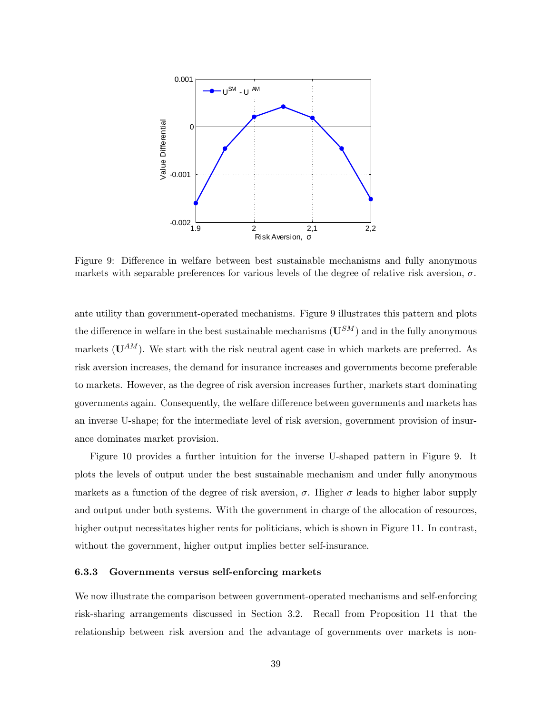

Figure 9: Difference in welfare between best sustainable mechanisms and fully anonymous markets with separable preferences for various levels of the degree of relative risk aversion,  $\sigma$ .

ante utility than government-operated mechanisms. Figure 9 illustrates this pattern and plots the difference in welfare in the best sustainable mechanisms  $(\mathbf{U}^{SM})$  and in the fully anonymous markets  $(\mathbf{U}^{AM})$ . We start with the risk neutral agent case in which markets are preferred. As risk aversion increases, the demand for insurance increases and governments become preferable to markets. However, as the degree of risk aversion increases further, markets start dominating governments again. Consequently, the welfare difference between governments and markets has an inverse U-shape; for the intermediate level of risk aversion, government provision of insurance dominates market provision.

Figure 10 provides a further intuition for the inverse U-shaped pattern in Figure 9. It plots the levels of output under the best sustainable mechanism and under fully anonymous markets as a function of the degree of risk aversion,  $\sigma$ . Higher  $\sigma$  leads to higher labor supply and output under both systems. With the government in charge of the allocation of resources, higher output necessitates higher rents for politicians, which is shown in Figure 11. In contrast, without the government, higher output implies better self-insurance.

#### 6.3.3 Governments versus self-enforcing markets

We now illustrate the comparison between government-operated mechanisms and self-enforcing risk-sharing arrangements discussed in Section 3.2. Recall from Proposition 11 that the relationship between risk aversion and the advantage of governments over markets is non-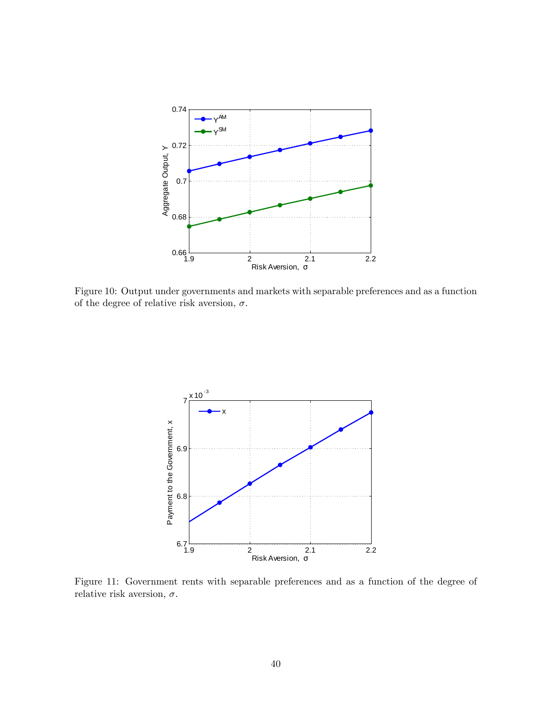

Figure 10: Output under governments and markets with separable preferences and as a function of the degree of relative risk aversion,  $\sigma$ .



Figure 11: Government rents with separable preferences and as a function of the degree of relative risk aversion,  $\sigma$ .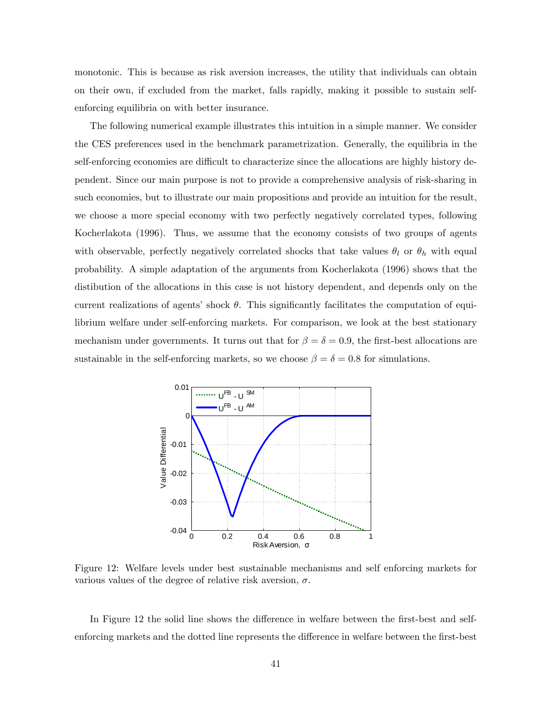monotonic. This is because as risk aversion increases, the utility that individuals can obtain on their own, if excluded from the market, falls rapidly, making it possible to sustain selfenforcing equilibria on with better insurance.

The following numerical example illustrates this intuition in a simple manner. We consider the CES preferences used in the benchmark parametrization. Generally, the equilibria in the self-enforcing economies are difficult to characterize since the allocations are highly history dependent. Since our main purpose is not to provide a comprehensive analysis of risk-sharing in such economies, but to illustrate our main propositions and provide an intuition for the result, we choose a more special economy with two perfectly negatively correlated types, following Kocherlakota (1996). Thus, we assume that the economy consists of two groups of agents with observable, perfectly negatively correlated shocks that take values  $\theta_l$  or  $\theta_h$  with equal probability. A simple adaptation of the arguments from Kocherlakota (1996) shows that the distibution of the allocations in this case is not history dependent, and depends only on the current realizations of agents' shock  $\theta$ . This significantly facilitates the computation of equilibrium welfare under self-enforcing markets. For comparison, we look at the best stationary mechanism under governments. It turns out that for  $\beta = \delta = 0.9$ , the first-best allocations are sustainable in the self-enforcing markets, so we choose  $\beta = \delta = 0.8$  for simulations.



Figure 12: Welfare levels under best sustainable mechanisms and self enforcing markets for various values of the degree of relative risk aversion,  $\sigma$ .

In Figure 12 the solid line shows the difference in welfare between the first-best and selfenforcing markets and the dotted line represents the difference in welfare between the first-best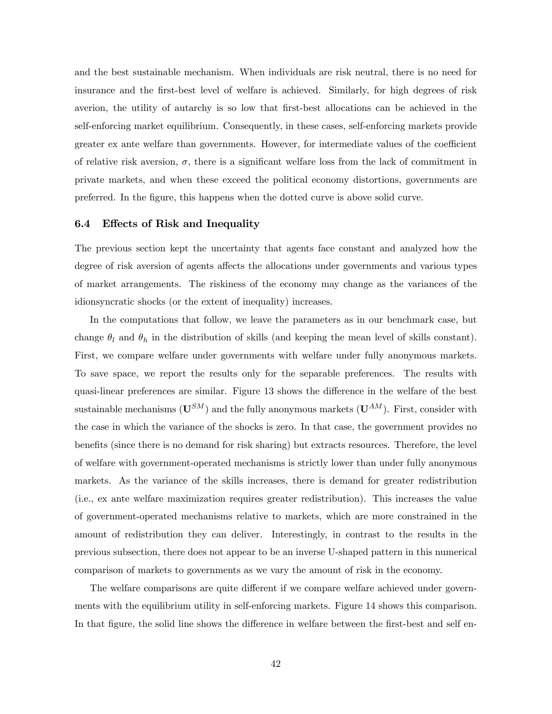and the best sustainable mechanism. When individuals are risk neutral, there is no need for insurance and the Örst-best level of welfare is achieved. Similarly, for high degrees of risk averion, the utility of autarchy is so low that first-best allocations can be achieved in the self-enforcing market equilibrium. Consequently, in these cases, self-enforcing markets provide greater ex ante welfare than governments. However, for intermediate values of the coefficient of relative risk aversion,  $\sigma$ , there is a significant welfare loss from the lack of commitment in private markets, and when these exceed the political economy distortions, governments are preferred. In the Ögure, this happens when the dotted curve is above solid curve.

### 6.4 Effects of Risk and Inequality

The previous section kept the uncertainty that agents face constant and analyzed how the degree of risk aversion of agents affects the allocations under governments and various types of market arrangements. The riskiness of the economy may change as the variances of the idionsyncratic shocks (or the extent of inequality) increases.

In the computations that follow, we leave the parameters as in our benchmark case, but change  $\theta_l$  and  $\theta_h$  in the distribution of skills (and keeping the mean level of skills constant). First, we compare welfare under governments with welfare under fully anonymous markets. To save space, we report the results only for the separable preferences. The results with quasi-linear preferences are similar. Figure 13 shows the difference in the welfare of the best sustainable mechanisms  $(\mathbf{U}^{SM})$  and the fully anonymous markets  $(\mathbf{U}^{AM})$ . First, consider with the case in which the variance of the shocks is zero. In that case, the government provides no benefits (since there is no demand for risk sharing) but extracts resources. Therefore, the level of welfare with government-operated mechanisms is strictly lower than under fully anonymous markets. As the variance of the skills increases, there is demand for greater redistribution (i.e., ex ante welfare maximization requires greater redistribution). This increases the value of government-operated mechanisms relative to markets, which are more constrained in the amount of redistribution they can deliver. Interestingly, in contrast to the results in the previous subsection, there does not appear to be an inverse U-shaped pattern in this numerical comparison of markets to governments as we vary the amount of risk in the economy.

The welfare comparisons are quite different if we compare welfare achieved under governments with the equilibrium utility in self-enforcing markets. Figure 14 shows this comparison. In that figure, the solid line shows the difference in welfare between the first-best and self en-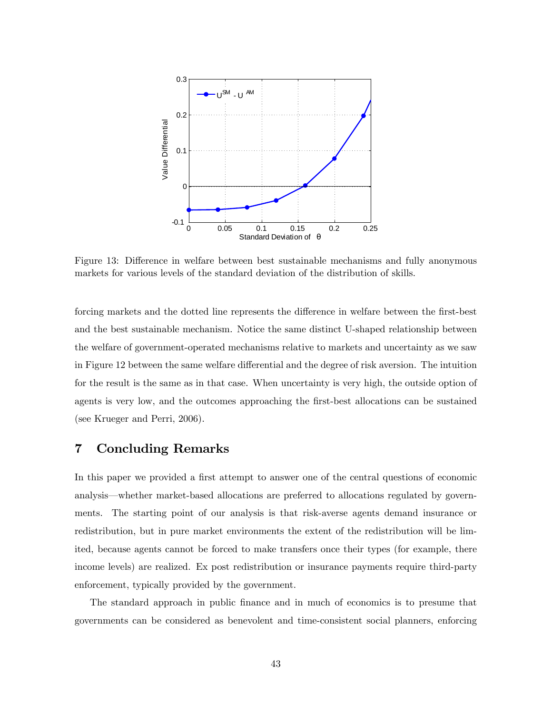

Figure 13: Difference in welfare between best sustainable mechanisms and fully anonymous markets for various levels of the standard deviation of the distribution of skills.

forcing markets and the dotted line represents the difference in welfare between the first-best and the best sustainable mechanism. Notice the same distinct U-shaped relationship between the welfare of government-operated mechanisms relative to markets and uncertainty as we saw in Figure 12 between the same welfare differential and the degree of risk aversion. The intuition for the result is the same as in that case. When uncertainty is very high, the outside option of agents is very low, and the outcomes approaching the first-best allocations can be sustained (see Krueger and Perri, 2006).

# 7 Concluding Remarks

In this paper we provided a first attempt to answer one of the central questions of economic analysis—whether market-based allocations are preferred to allocations regulated by governments. The starting point of our analysis is that risk-averse agents demand insurance or redistribution, but in pure market environments the extent of the redistribution will be limited, because agents cannot be forced to make transfers once their types (for example, there income levels) are realized. Ex post redistribution or insurance payments require third-party enforcement, typically provided by the government.

The standard approach in public finance and in much of economics is to presume that governments can be considered as benevolent and time-consistent social planners, enforcing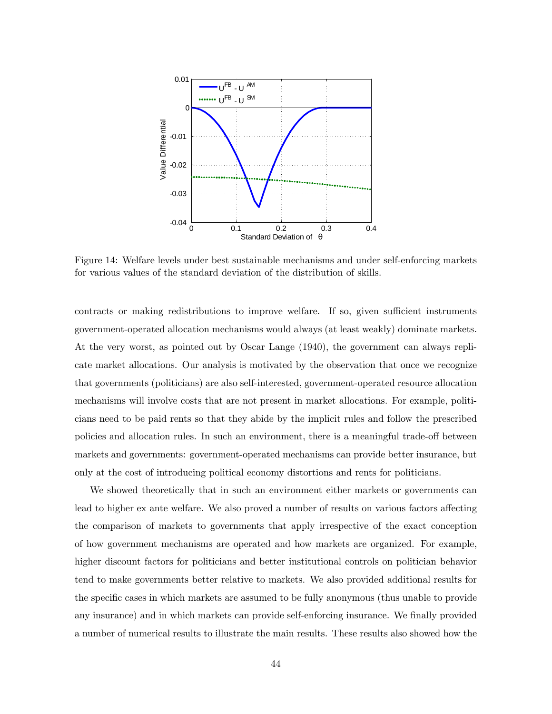

Figure 14: Welfare levels under best sustainable mechanisms and under self-enforcing markets for various values of the standard deviation of the distribution of skills.

contracts or making redistributions to improve welfare. If so, given sufficient instruments government-operated allocation mechanisms would always (at least weakly) dominate markets. At the very worst, as pointed out by Oscar Lange (1940), the government can always replicate market allocations. Our analysis is motivated by the observation that once we recognize that governments (politicians) are also self-interested, government-operated resource allocation mechanisms will involve costs that are not present in market allocations. For example, politicians need to be paid rents so that they abide by the implicit rules and follow the prescribed policies and allocation rules. In such an environment, there is a meaningful trade-off between markets and governments: government-operated mechanisms can provide better insurance, but only at the cost of introducing political economy distortions and rents for politicians.

We showed theoretically that in such an environment either markets or governments can lead to higher ex ante welfare. We also proved a number of results on various factors affecting the comparison of markets to governments that apply irrespective of the exact conception of how government mechanisms are operated and how markets are organized. For example, higher discount factors for politicians and better institutional controls on politician behavior tend to make governments better relative to markets. We also provided additional results for the specific cases in which markets are assumed to be fully anonymous (thus unable to provide any insurance) and in which markets can provide self-enforcing insurance. We finally provided a number of numerical results to illustrate the main results. These results also showed how the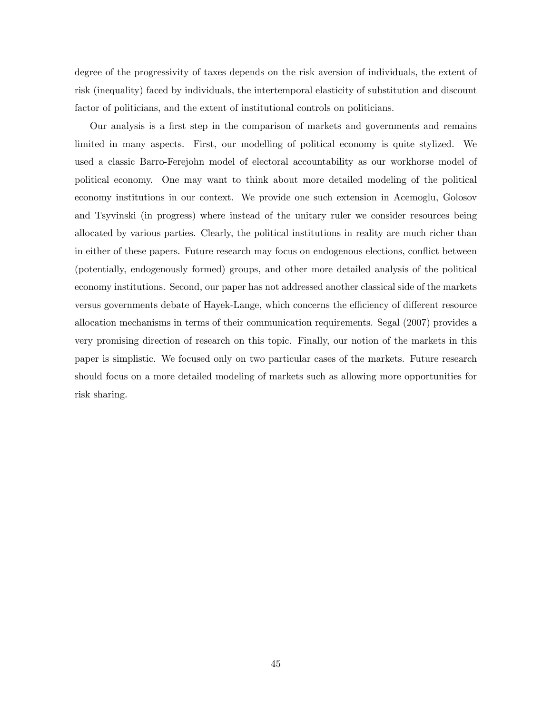degree of the progressivity of taxes depends on the risk aversion of individuals, the extent of risk (inequality) faced by individuals, the intertemporal elasticity of substitution and discount factor of politicians, and the extent of institutional controls on politicians.

Our analysis is a first step in the comparison of markets and governments and remains limited in many aspects. First, our modelling of political economy is quite stylized. We used a classic Barro-Ferejohn model of electoral accountability as our workhorse model of political economy. One may want to think about more detailed modeling of the political economy institutions in our context. We provide one such extension in Acemoglu, Golosov and Tsyvinski (in progress) where instead of the unitary ruler we consider resources being allocated by various parties. Clearly, the political institutions in reality are much richer than in either of these papers. Future research may focus on endogenous elections, conflict between (potentially, endogenously formed) groups, and other more detailed analysis of the political economy institutions. Second, our paper has not addressed another classical side of the markets versus governments debate of Hayek-Lange, which concerns the efficiency of different resource allocation mechanisms in terms of their communication requirements. Segal (2007) provides a very promising direction of research on this topic. Finally, our notion of the markets in this paper is simplistic. We focused only on two particular cases of the markets. Future research should focus on a more detailed modeling of markets such as allowing more opportunities for risk sharing.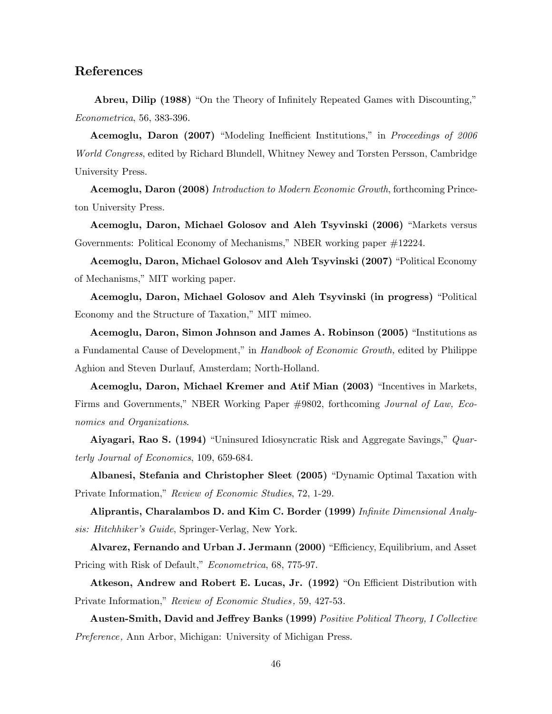# References

Abreu, Dilip (1988) "On the Theory of Infinitely Repeated Games with Discounting," Econometrica, 56, 383-396.

Acemoglu, Daron (2007) "Modeling Inefficient Institutions," in Proceedings of 2006 World Congress, edited by Richard Blundell, Whitney Newey and Torsten Persson, Cambridge University Press.

Acemoglu, Daron (2008) Introduction to Modern Economic Growth, forthcoming Princeton University Press.

Acemoglu, Daron, Michael Golosov and Aleh Tsyvinski (2006) "Markets versus Governments: Political Economy of Mechanisms," NBER working paper  $\#12224$ .

Acemoglu, Daron, Michael Golosov and Aleh Tsyvinski (2007) "Political Economy of Mechanisms," MIT working paper.

Acemoglu, Daron, Michael Golosov and Aleh Tsyvinski (in progress) "Political Economy and the Structure of Taxation," MIT mimeo.

Acemoglu, Daron, Simon Johnson and James A. Robinson (2005) "Institutions as a Fundamental Cause of Development," in Handbook of Economic Growth, edited by Philippe Aghion and Steven Durlauf, Amsterdam; North-Holland.

Acemoglu, Daron, Michael Kremer and Atif Mian (2003) "Incentives in Markets, Firms and Governments," NBER Working Paper  $\#9802$ , forthcoming *Journal of Law, Eco*nomics and Organizations.

Aiyagari, Rao S. (1994) "Uninsured Idiosyncratic Risk and Aggregate Savings," Quarterly Journal of Economics, 109, 659-684.

Albanesi, Stefania and Christopher Sleet (2005) "Dynamic Optimal Taxation with Private Information," Review of Economic Studies, 72, 1-29.

Aliprantis, Charalambos D. and Kim C. Border (1999) Infinite Dimensional Analysis: Hitchhiker's Guide, Springer-Verlag, New York.

Alvarez, Fernando and Urban J. Jermann (2000) "Efficiency, Equilibrium, and Asset Pricing with Risk of Default," Econometrica, 68, 775-97.

Atkeson, Andrew and Robert E. Lucas, Jr. (1992) "On Efficient Distribution with Private Information," Review of Economic Studies, 59, 427-53.

Austen-Smith, David and Jeffrey Banks (1999) Positive Political Theory, I Collective Preference, Ann Arbor, Michigan: University of Michigan Press.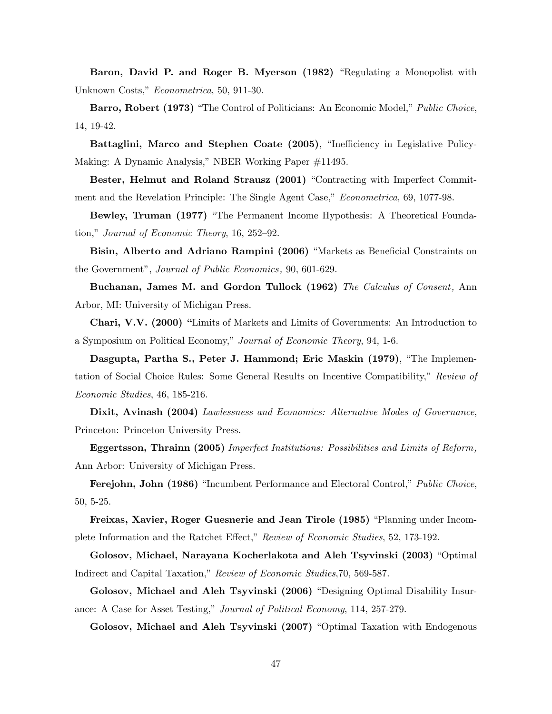Baron, David P. and Roger B. Myerson (1982) "Regulating a Monopolist with Unknown Costs," Econometrica, 50, 911-30.

Barro, Robert (1973) "The Control of Politicians: An Economic Model," Public Choice, 14, 19-42.

Battaglini, Marco and Stephen Coate (2005), "Inefficiency in Legislative Policy-Making: A Dynamic Analysis," NBER Working Paper #11495.

Bester, Helmut and Roland Strausz (2001) "Contracting with Imperfect Commitment and the Revelation Principle: The Single Agent Case," Econometrica, 69, 1077-98.

Bewley, Truman (1977) "The Permanent Income Hypothesis: A Theoretical Foundation," Journal of Economic Theory, 16, 252-92.

Bisin, Alberto and Adriano Rampini (2006) "Markets as Beneficial Constraints on the Government", *Journal of Public Economics*, 90, 601-629.

Buchanan, James M. and Gordon Tullock (1962) The Calculus of Consent, Ann Arbor, MI: University of Michigan Press.

Chari, V.V. (2000) "Limits of Markets and Limits of Governments: An Introduction to a Symposium on Political Economy," Journal of Economic Theory, 94, 1-6.

Dasgupta, Partha S., Peter J. Hammond; Eric Maskin (1979), "The Implementation of Social Choice Rules: Some General Results on Incentive Compatibility," Review of Economic Studies, 46, 185-216:

Dixit, Avinash (2004) Lawlessness and Economics: Alternative Modes of Governance, Princeton: Princeton University Press.

Eggertsson, Thrainn (2005) Imperfect Institutions: Possibilities and Limits of Reform , Ann Arbor: University of Michigan Press.

Ferejohn, John (1986) "Incumbent Performance and Electoral Control," Public Choice, 50, 5-25.

Freixas, Xavier, Roger Guesnerie and Jean Tirole (1985) "Planning under Incomplete Information and the Ratchet Effect," Review of Economic Studies, 52, 173-192.

Golosov, Michael, Narayana Kocherlakota and Aleh Tsyvinski (2003) "Optimal Indirect and Capital Taxation," Review of Economic Studies,70, 569-587.

Golosov, Michael and Aleh Tsyvinski (2006) "Designing Optimal Disability Insurance: A Case for Asset Testing," Journal of Political Economy, 114, 257-279.

Golosov, Michael and Aleh Tsyvinski (2007) "Optimal Taxation with Endogenous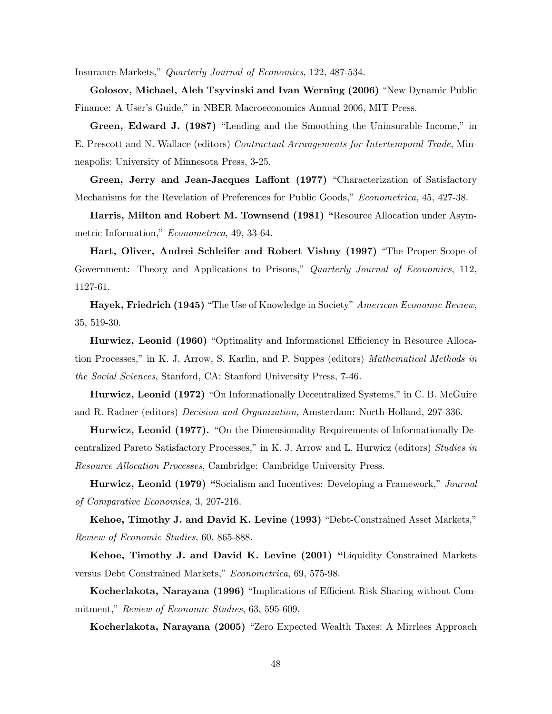Insurance Markets," Quarterly Journal of Economics, 122, 487-534.

Golosov, Michael, Aleh Tsyvinski and Ivan Werning (2006) "New Dynamic Public Finance: A User's Guide," in NBER Macroeconomics Annual 2006, MIT Press.

Green, Edward J. (1987) "Lending and the Smoothing the Uninsurable Income," in E. Prescott and N. Wallace (editors) Contractual Arrangements for Intertemporal Trade, Minneapolis: University of Minnesota Press, 3-25.

Green, Jerry and Jean-Jacques Laffont (1977) "Characterization of Satisfactory Mechanisms for the Revelation of Preferences for Public Goods," Econometrica, 45, 427-38.

Harris, Milton and Robert M. Townsend (1981) "Resource Allocation under Asymmetric Information," Econometrica, 49, 33-64.

Hart, Oliver, Andrei Schleifer and Robert Vishny (1997) "The Proper Scope of Government: Theory and Applications to Prisons," Quarterly Journal of Economics, 112, 1127-61.

Hayek, Friedrich (1945) "The Use of Knowledge in Society" American Economic Review, 35, 519-30.

Hurwicz, Leonid (1960) "Optimality and Informational Efficiency in Resource Allocation Processes," in K. J. Arrow, S. Karlin, and P. Suppes (editors) *Mathematical Methods in* the Social Sciences, Stanford, CA: Stanford University Press, 7-46.

Hurwicz, Leonid (1972) "On Informationally Decentralized Systems," in C. B. McGuire and R. Radner (editors) Decision and Organization, Amsterdam: North-Holland, 297-336.

Hurwicz, Leonid (1977). "On the Dimensionality Requirements of Informationally Decentralized Pareto Satisfactory Processes," in K. J. Arrow and L. Hurwicz (editors) Studies in Resource Allocation Processes, Cambridge: Cambridge University Press.

Hurwicz, Leonid (1979) "Socialism and Incentives: Developing a Framework," Journal of Comparative Economics, 3, 207-216.

Kehoe, Timothy J. and David K. Levine (1993) "Debt-Constrained Asset Markets," Review of Economic Studies, 60, 865-888.

Kehoe, Timothy J. and David K. Levine (2001) "Liquidity Constrained Markets versus Debt Constrained Markets," Econometrica, 69, 575-98.

Kocherlakota, Narayana (1996) "Implications of Efficient Risk Sharing without Commitment," Review of Economic Studies, 63, 595-609.

Kocherlakota, Narayana (2005) "Zero Expected Wealth Taxes: A Mirrlees Approach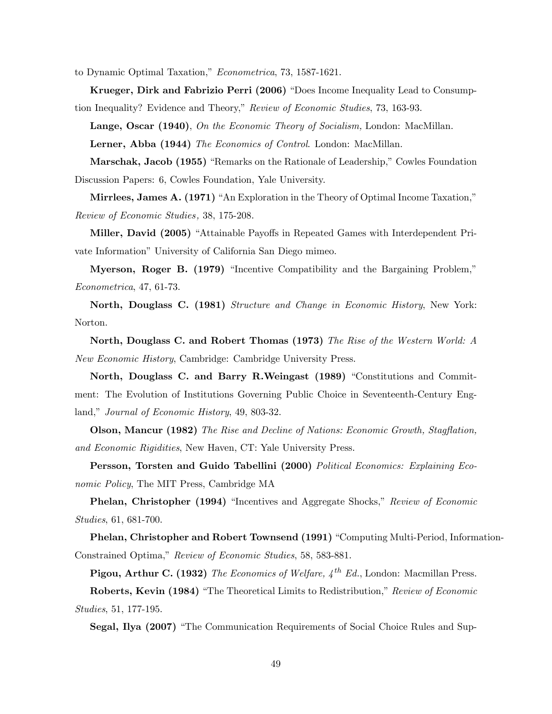to Dynamic Optimal Taxation," Econometrica, 73, 1587-1621.

Krueger, Dirk and Fabrizio Perri (2006) "Does Income Inequality Lead to Consumption Inequality? Evidence and Theory," Review of Economic Studies, 73, 163-93.

Lange, Oscar (1940), On the Economic Theory of Socialism, London: MacMillan.

Lerner, Abba (1944) The Economics of Control. London: MacMillan.

Marschak, Jacob (1955) "Remarks on the Rationale of Leadership," Cowles Foundation Discussion Papers: 6, Cowles Foundation, Yale University.

Mirrlees, James A.  $(1971)$  "An Exploration in the Theory of Optimal Income Taxation," Review of Economic Studies, 38, 175-208.

Miller, David (2005) "Attainable Payoffs in Repeated Games with Interdependent Private Information" University of California San Diego mimeo.

Myerson, Roger B. (1979) "Incentive Compatibility and the Bargaining Problem," Econometrica, 47, 61-73.

North, Douglass C. (1981) Structure and Change in Economic History, New York: Norton.

North, Douglass C. and Robert Thomas (1973) The Rise of the Western World: A New Economic History, Cambridge: Cambridge University Press.

North, Douglass C. and Barry R.Weingast (1989) "Constitutions and Commitment: The Evolution of Institutions Governing Public Choice in Seventeenth-Century England," Journal of Economic History, 49, 803-32.

Olson, Mancur (1982) The Rise and Decline of Nations: Economic Growth, Stagflation, and Economic Rigidities, New Haven, CT: Yale University Press.

Persson, Torsten and Guido Tabellini (2000) Political Economics: Explaining Economic Policy, The MIT Press, Cambridge MA

**Phelan, Christopher (1994)** "Incentives and Aggregate Shocks," Review of Economic Studies, 61, 681-700.

**Phelan, Christopher and Robert Townsend (1991)** "Computing Multi-Period, Information-Constrained Optima," Review of Economic Studies, 58, 583-881.

Pigou, Arthur C. (1932) The Economics of Welfare, 4<sup>th</sup> Ed., London: Macmillan Press.

Roberts, Kevin (1984) "The Theoretical Limits to Redistribution," Review of Economic Studies, 51, 177-195.

Segal, Ilya (2007) "The Communication Requirements of Social Choice Rules and Sup-